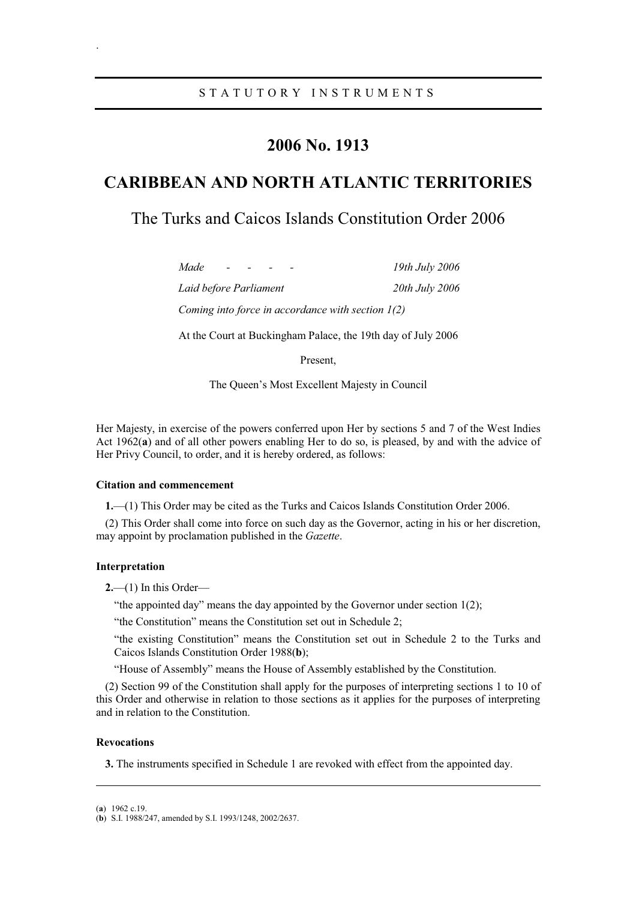# **2006 No. 1913**

# **CARIBBEAN AND NORTH ATLANTIC TERRITORIES**

The Turks and Caicos Islands Constitution Order 2006

*Made - - - - 19th July 2006 Laid before Parliament 20th July 2006 Coming into force in accordance with section 1(2)* 

At the Court at Buckingham Palace, the 19th day of July 2006

Present,

The Queen's Most Excellent Majesty in Council

Her Majesty, in exercise of the powers conferred upon Her by sections 5 and 7 of the West Indies Act 1962(**a**) and of all other powers enabling Her to do so, is pleased, by and with the advice of Her Privy Council, to order, and it is hereby ordered, as follows:

### **Citation and commencement**

**1.**—(1) This Order may be cited as the Turks and Caicos Islands Constitution Order 2006.

(2) This Order shall come into force on such day as the Governor, acting in his or her discretion, may appoint by proclamation published in the *Gazette*.

### **Interpretation**

.

**2.**—(1) In this Order—

"the appointed day" means the day appointed by the Governor under section 1(2);

"the Constitution" means the Constitution set out in Schedule 2;

"the existing Constitution" means the Constitution set out in Schedule 2 to the Turks and Caicos Islands Constitution Order 1988(**b**);

"House of Assembly" means the House of Assembly established by the Constitution.

(2) Section 99 of the Constitution shall apply for the purposes of interpreting sections 1 to 10 of this Order and otherwise in relation to those sections as it applies for the purposes of interpreting and in relation to the Constitution.

## **Revocations**

**3.** The instruments specified in Schedule 1 are revoked with effect from the appointed day.

<sup>(</sup>**a**) 1962 c.19.

<sup>(</sup>**b**) S.I. 1988/247, amended by S.I. 1993/1248, 2002/2637.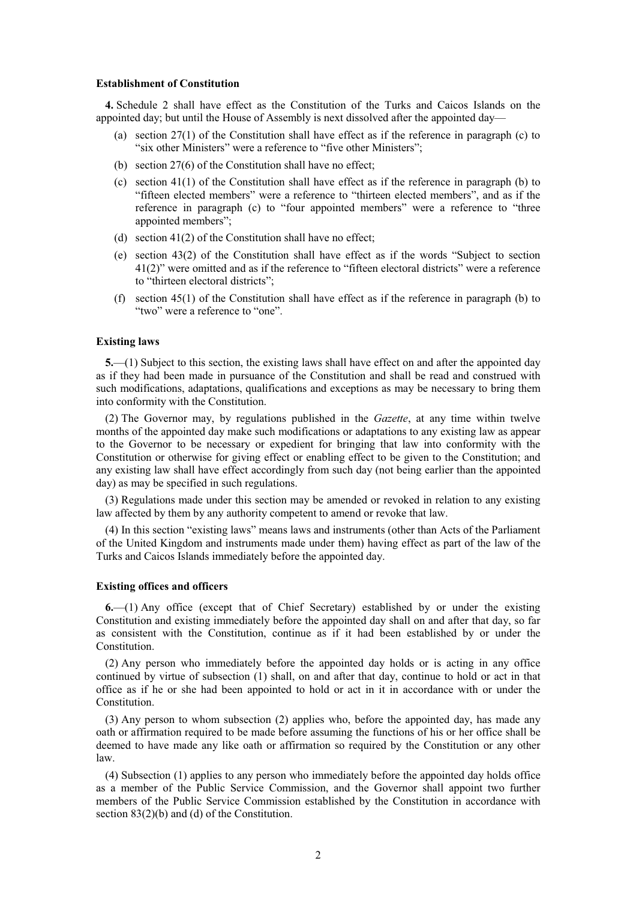#### **Establishment of Constitution**

**4.** Schedule 2 shall have effect as the Constitution of the Turks and Caicos Islands on the appointed day; but until the House of Assembly is next dissolved after the appointed day—

- (a) section 27(1) of the Constitution shall have effect as if the reference in paragraph (c) to "six other Ministers" were a reference to "five other Ministers";
- (b) section 27(6) of the Constitution shall have no effect;
- (c) section 41(1) of the Constitution shall have effect as if the reference in paragraph (b) to "fifteen elected members" were a reference to "thirteen elected members", and as if the reference in paragraph (c) to "four appointed members" were a reference to "three appointed members";
- (d) section 41(2) of the Constitution shall have no effect;
- (e) section 43(2) of the Constitution shall have effect as if the words "Subject to section 41(2)" were omitted and as if the reference to "fifteen electoral districts" were a reference to "thirteen electoral districts";
- (f) section 45(1) of the Constitution shall have effect as if the reference in paragraph (b) to "two" were a reference to "one".

#### **Existing laws**

**5.**—(1) Subject to this section, the existing laws shall have effect on and after the appointed day as if they had been made in pursuance of the Constitution and shall be read and construed with such modifications, adaptations, qualifications and exceptions as may be necessary to bring them into conformity with the Constitution.

(2) The Governor may, by regulations published in the *Gazette*, at any time within twelve months of the appointed day make such modifications or adaptations to any existing law as appear to the Governor to be necessary or expedient for bringing that law into conformity with the Constitution or otherwise for giving effect or enabling effect to be given to the Constitution; and any existing law shall have effect accordingly from such day (not being earlier than the appointed day) as may be specified in such regulations.

(3) Regulations made under this section may be amended or revoked in relation to any existing law affected by them by any authority competent to amend or revoke that law.

(4) In this section "existing laws" means laws and instruments (other than Acts of the Parliament of the United Kingdom and instruments made under them) having effect as part of the law of the Turks and Caicos Islands immediately before the appointed day.

#### **Existing offices and officers**

**6.**—(1) Any office (except that of Chief Secretary) established by or under the existing Constitution and existing immediately before the appointed day shall on and after that day, so far as consistent with the Constitution, continue as if it had been established by or under the Constitution.

(2) Any person who immediately before the appointed day holds or is acting in any office continued by virtue of subsection (1) shall, on and after that day, continue to hold or act in that office as if he or she had been appointed to hold or act in it in accordance with or under the Constitution.

(3) Any person to whom subsection (2) applies who, before the appointed day, has made any oath or affirmation required to be made before assuming the functions of his or her office shall be deemed to have made any like oath or affirmation so required by the Constitution or any other law.

(4) Subsection (1) applies to any person who immediately before the appointed day holds office as a member of the Public Service Commission, and the Governor shall appoint two further members of the Public Service Commission established by the Constitution in accordance with section 83(2)(b) and (d) of the Constitution.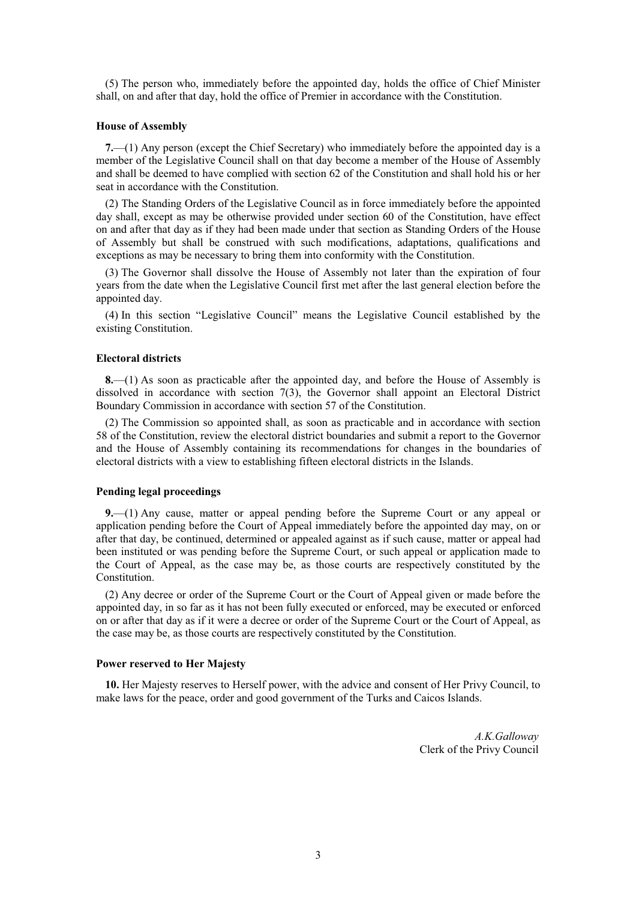(5) The person who, immediately before the appointed day, holds the office of Chief Minister shall, on and after that day, hold the office of Premier in accordance with the Constitution.

#### **House of Assembly**

**7.**—(1) Any person (except the Chief Secretary) who immediately before the appointed day is a member of the Legislative Council shall on that day become a member of the House of Assembly and shall be deemed to have complied with section 62 of the Constitution and shall hold his or her seat in accordance with the Constitution.

(2) The Standing Orders of the Legislative Council as in force immediately before the appointed day shall, except as may be otherwise provided under section 60 of the Constitution, have effect on and after that day as if they had been made under that section as Standing Orders of the House of Assembly but shall be construed with such modifications, adaptations, qualifications and exceptions as may be necessary to bring them into conformity with the Constitution.

(3) The Governor shall dissolve the House of Assembly not later than the expiration of four years from the date when the Legislative Council first met after the last general election before the appointed day.

(4) In this section "Legislative Council" means the Legislative Council established by the existing Constitution.

## **Electoral districts**

**8.**—(1) As soon as practicable after the appointed day, and before the House of Assembly is dissolved in accordance with section 7(3), the Governor shall appoint an Electoral District Boundary Commission in accordance with section 57 of the Constitution.

(2) The Commission so appointed shall, as soon as practicable and in accordance with section 58 of the Constitution, review the electoral district boundaries and submit a report to the Governor and the House of Assembly containing its recommendations for changes in the boundaries of electoral districts with a view to establishing fifteen electoral districts in the Islands.

#### **Pending legal proceedings**

**9.**—(1) Any cause, matter or appeal pending before the Supreme Court or any appeal or application pending before the Court of Appeal immediately before the appointed day may, on or after that day, be continued, determined or appealed against as if such cause, matter or appeal had been instituted or was pending before the Supreme Court, or such appeal or application made to the Court of Appeal, as the case may be, as those courts are respectively constituted by the Constitution.

(2) Any decree or order of the Supreme Court or the Court of Appeal given or made before the appointed day, in so far as it has not been fully executed or enforced, may be executed or enforced on or after that day as if it were a decree or order of the Supreme Court or the Court of Appeal, as the case may be, as those courts are respectively constituted by the Constitution.

# **Power reserved to Her Majesty**

**10.** Her Majesty reserves to Herself power, with the advice and consent of Her Privy Council, to make laws for the peace, order and good government of the Turks and Caicos Islands.

> *A.K.Galloway* Clerk of the Privy Council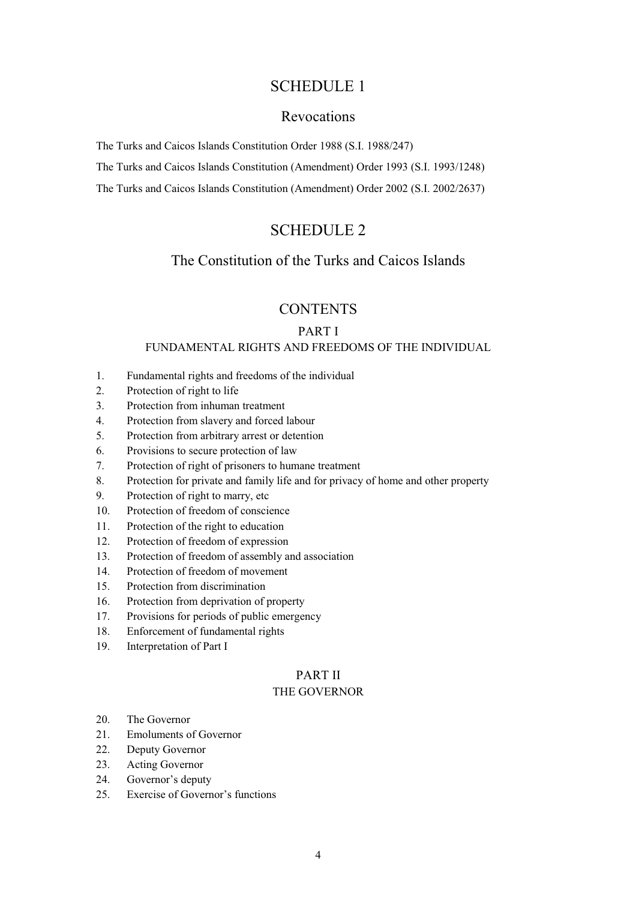# SCHEDULE 1

# Revocations

The Turks and Caicos Islands Constitution Order 1988 (S.I. 1988/247)

The Turks and Caicos Islands Constitution (Amendment) Order 1993 (S.I. 1993/1248)

The Turks and Caicos Islands Constitution (Amendment) Order 2002 (S.I. 2002/2637)

# SCHEDULE 2

# The Constitution of the Turks and Caicos Islands

# **CONTENTS**

# PART I

## FUNDAMENTAL RIGHTS AND FREEDOMS OF THE INDIVIDUAL

- 1. Fundamental rights and freedoms of the individual
- 2. Protection of right to life
- 3. Protection from inhuman treatment
- 4. Protection from slavery and forced labour
- 5. Protection from arbitrary arrest or detention
- 6. Provisions to secure protection of law
- 7. Protection of right of prisoners to humane treatment
- 8. Protection for private and family life and for privacy of home and other property
- 9. Protection of right to marry, etc
- 10. Protection of freedom of conscience
- 11. Protection of the right to education
- 12. Protection of freedom of expression
- 13. Protection of freedom of assembly and association
- 14. Protection of freedom of movement
- 15. Protection from discrimination
- 16. Protection from deprivation of property
- 17. Provisions for periods of public emergency
- 18. Enforcement of fundamental rights
- 19. Interpretation of Part I

# PART II

# THE GOVERNOR

- 20. The Governor
- 21. Emoluments of Governor
- 22. Deputy Governor
- 23. Acting Governor
- 24. Governor's deputy
- 25. Exercise of Governor's functions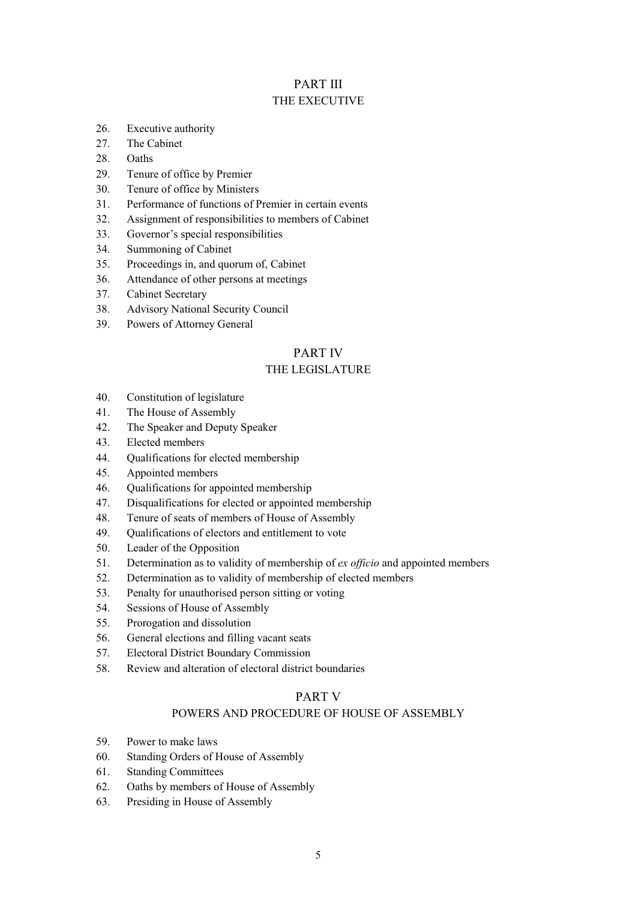# PART III THE EXECUTIVE

- 26. Executive authority
- 27. The Cabinet
- 28. Oaths
- 29. Tenure of office by Premier
- 30. Tenure of office by Ministers
- 31. Performance of functions of Premier in certain events
- 32. Assignment of responsibilities to members of Cabinet
- 33. Governor's special responsibilities
- 34. Summoning of Cabinet
- 35. Proceedings in, and quorum of, Cabinet
- 36. Attendance of other persons at meetings
- 37. Cabinet Secretary
- 38. Advisory National Security Council
- 39. Powers of Attorney General

# PART IV

# THE LEGISLATURE

- 40. Constitution of legislature
- 41. The House of Assembly
- 42. The Speaker and Deputy Speaker
- 43. Elected members
- 44. Qualifications for elected membership
- 45. Appointed members
- 46. Qualifications for appointed membership
- 47. Disqualifications for elected or appointed membership
- 48. Tenure of seats of members of House of Assembly
- 49. Qualifications of electors and entitlement to vote
- 50. Leader of the Opposition
- 51. Determination as to validity of membership of *ex officio* and appointed members
- 52. Determination as to validity of membership of elected members
- 53. Penalty for unauthorised person sitting or voting
- 54. Sessions of House of Assembly
- 55. Prorogation and dissolution
- 56. General elections and filling vacant seats
- 57. Electoral District Boundary Commission
- 58. Review and alteration of electoral district boundaries

# PART V

## POWERS AND PROCEDURE OF HOUSE OF ASSEMBLY

- 59. Power to make laws
- 60. Standing Orders of House of Assembly
- 61. Standing Committees
- 62. Oaths by members of House of Assembly
- 63. Presiding in House of Assembly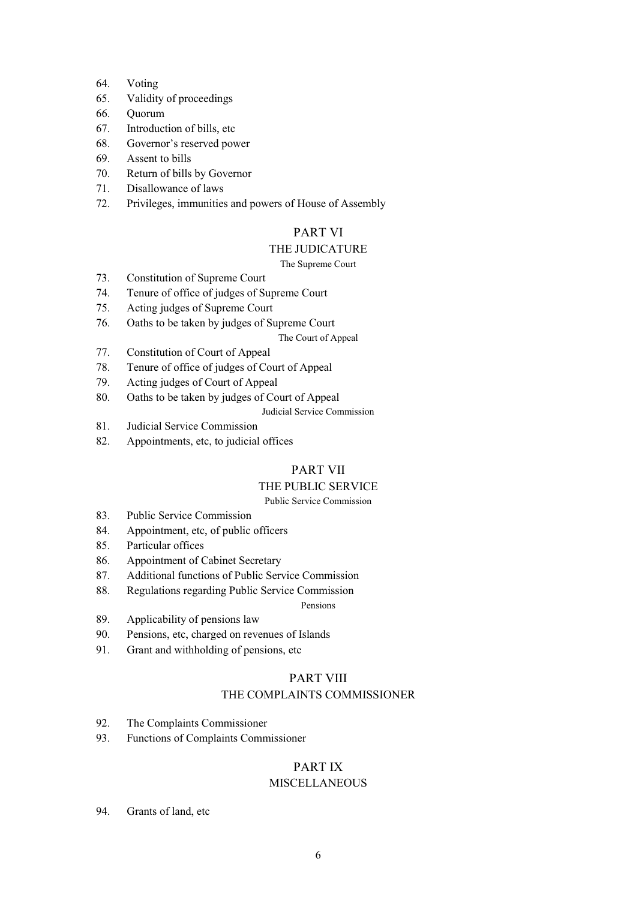- 64. Voting
- 65. Validity of proceedings
- 66. Quorum
- 67. Introduction of bills, etc
- 68. Governor's reserved power
- 69. Assent to bills
- 70. Return of bills by Governor
- 71. Disallowance of laws
- 72. Privileges, immunities and powers of House of Assembly

# PART VI

### THE JUDICATURE

## The Supreme Court

- 73. Constitution of Supreme Court
- 74. Tenure of office of judges of Supreme Court
- 75. Acting judges of Supreme Court
- 76. Oaths to be taken by judges of Supreme Court

The Court of Appeal

- 77. Constitution of Court of Appeal
- 78. Tenure of office of judges of Court of Appeal
- 79. Acting judges of Court of Appeal
- 80. Oaths to be taken by judges of Court of Appeal
	- Judicial Service Commission
- 81. Judicial Service Commission
- 82. Appointments, etc, to judicial offices

# PART VII

## THE PUBLIC SERVICE

#### Public Service Commission

- 83. Public Service Commission
- 84. Appointment, etc, of public officers
- 85. Particular offices
- 86. Appointment of Cabinet Secretary
- 87. Additional functions of Public Service Commission
- 88. Regulations regarding Public Service Commission

Pensions

- 89. Applicability of pensions law
- 90. Pensions, etc, charged on revenues of Islands
- 91. Grant and withholding of pensions, etc

# PART VIII

## THE COMPLAINTS COMMISSIONER

- 92. The Complaints Commissioner
- 93. Functions of Complaints Commissioner

# PART IX

# **MISCELLANEOUS**

94. Grants of land, etc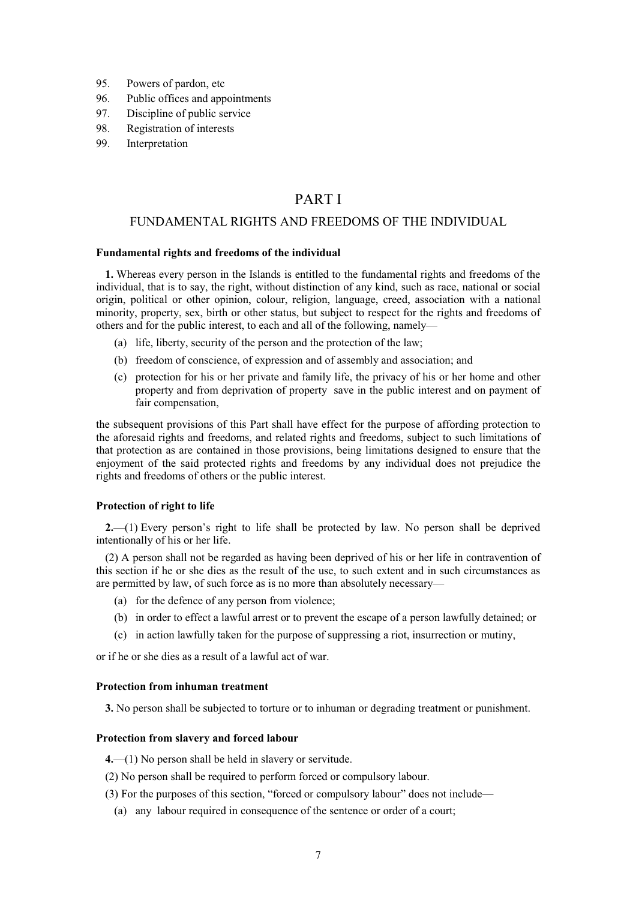- 95. Powers of pardon, etc
- 96. Public offices and appointments
- 97. Discipline of public service
- 98. Registration of interests
- 99. Interpretation

# PART I

# FUNDAMENTAL RIGHTS AND FREEDOMS OF THE INDIVIDUAL

## **Fundamental rights and freedoms of the individual**

**1.** Whereas every person in the Islands is entitled to the fundamental rights and freedoms of the individual, that is to say, the right, without distinction of any kind, such as race, national or social origin, political or other opinion, colour, religion, language, creed, association with a national minority, property, sex, birth or other status, but subject to respect for the rights and freedoms of others and for the public interest, to each and all of the following, namely—

- (a) life, liberty, security of the person and the protection of the law;
- (b) freedom of conscience, of expression and of assembly and association; and
- (c) protection for his or her private and family life, the privacy of his or her home and other property and from deprivation of property save in the public interest and on payment of fair compensation,

the subsequent provisions of this Part shall have effect for the purpose of affording protection to the aforesaid rights and freedoms, and related rights and freedoms, subject to such limitations of that protection as are contained in those provisions, being limitations designed to ensure that the enjoyment of the said protected rights and freedoms by any individual does not prejudice the rights and freedoms of others or the public interest.

## **Protection of right to life**

**2.**—(1) Every person's right to life shall be protected by law. No person shall be deprived intentionally of his or her life.

(2) A person shall not be regarded as having been deprived of his or her life in contravention of this section if he or she dies as the result of the use, to such extent and in such circumstances as are permitted by law, of such force as is no more than absolutely necessary—

- (a) for the defence of any person from violence;
- (b) in order to effect a lawful arrest or to prevent the escape of a person lawfully detained; or
- (c) in action lawfully taken for the purpose of suppressing a riot, insurrection or mutiny,

or if he or she dies as a result of a lawful act of war.

# **Protection from inhuman treatment**

**3.** No person shall be subjected to torture or to inhuman or degrading treatment or punishment.

### **Protection from slavery and forced labour**

**4.**—(1) No person shall be held in slavery or servitude.

- (2) No person shall be required to perform forced or compulsory labour.
- (3) For the purposes of this section, "forced or compulsory labour" does not include—
	- (a) any labour required in consequence of the sentence or order of a court;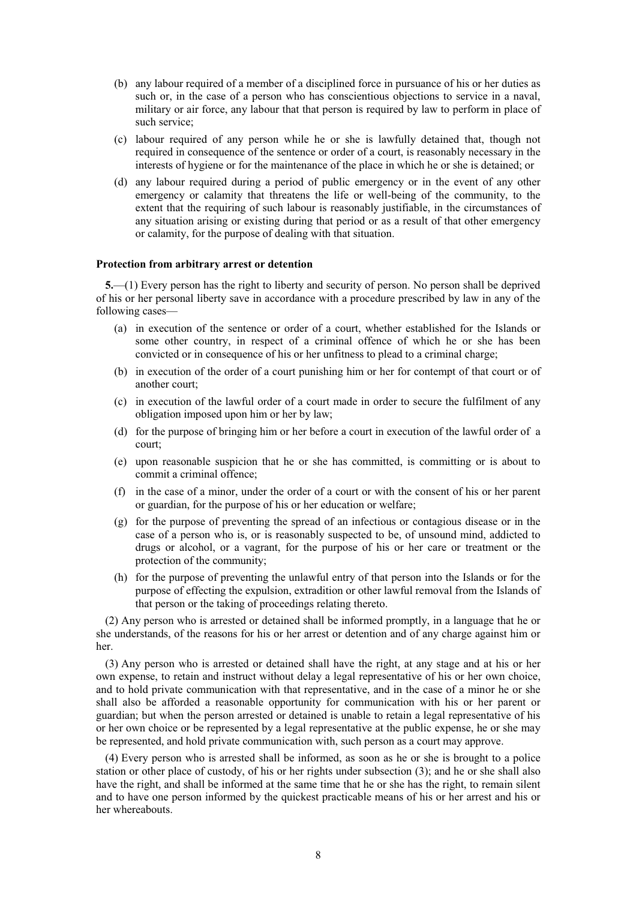- (b) any labour required of a member of a disciplined force in pursuance of his or her duties as such or, in the case of a person who has conscientious objections to service in a naval, military or air force, any labour that that person is required by law to perform in place of such service;
- (c) labour required of any person while he or she is lawfully detained that, though not required in consequence of the sentence or order of a court, is reasonably necessary in the interests of hygiene or for the maintenance of the place in which he or she is detained; or
- (d) any labour required during a period of public emergency or in the event of any other emergency or calamity that threatens the life or well-being of the community, to the extent that the requiring of such labour is reasonably justifiable, in the circumstances of any situation arising or existing during that period or as a result of that other emergency or calamity, for the purpose of dealing with that situation.

#### **Protection from arbitrary arrest or detention**

**5.**—(1) Every person has the right to liberty and security of person. No person shall be deprived of his or her personal liberty save in accordance with a procedure prescribed by law in any of the following cases—

- (a) in execution of the sentence or order of a court, whether established for the Islands or some other country, in respect of a criminal offence of which he or she has been convicted or in consequence of his or her unfitness to plead to a criminal charge;
- (b) in execution of the order of a court punishing him or her for contempt of that court or of another court;
- (c) in execution of the lawful order of a court made in order to secure the fulfilment of any obligation imposed upon him or her by law;
- (d) for the purpose of bringing him or her before a court in execution of the lawful order of a court;
- (e) upon reasonable suspicion that he or she has committed, is committing or is about to commit a criminal offence;
- (f) in the case of a minor, under the order of a court or with the consent of his or her parent or guardian, for the purpose of his or her education or welfare;
- (g) for the purpose of preventing the spread of an infectious or contagious disease or in the case of a person who is, or is reasonably suspected to be, of unsound mind, addicted to drugs or alcohol, or a vagrant, for the purpose of his or her care or treatment or the protection of the community;
- (h) for the purpose of preventing the unlawful entry of that person into the Islands or for the purpose of effecting the expulsion, extradition or other lawful removal from the Islands of that person or the taking of proceedings relating thereto.

(2) Any person who is arrested or detained shall be informed promptly, in a language that he or she understands, of the reasons for his or her arrest or detention and of any charge against him or her.

(3) Any person who is arrested or detained shall have the right, at any stage and at his or her own expense, to retain and instruct without delay a legal representative of his or her own choice, and to hold private communication with that representative, and in the case of a minor he or she shall also be afforded a reasonable opportunity for communication with his or her parent or guardian; but when the person arrested or detained is unable to retain a legal representative of his or her own choice or be represented by a legal representative at the public expense, he or she may be represented, and hold private communication with, such person as a court may approve.

(4) Every person who is arrested shall be informed, as soon as he or she is brought to a police station or other place of custody, of his or her rights under subsection (3); and he or she shall also have the right, and shall be informed at the same time that he or she has the right, to remain silent and to have one person informed by the quickest practicable means of his or her arrest and his or her whereabouts.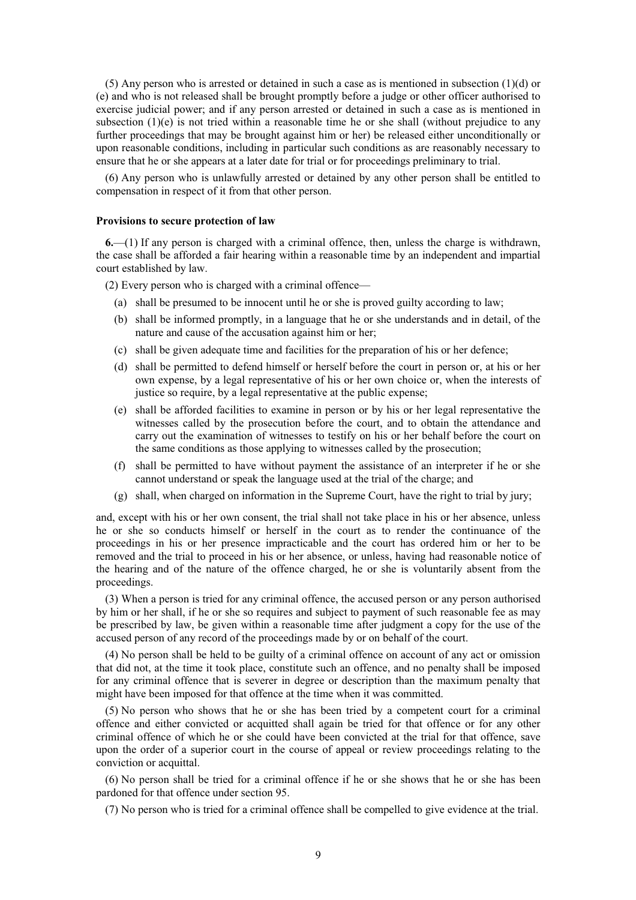(5) Any person who is arrested or detained in such a case as is mentioned in subsection (1)(d) or (e) and who is not released shall be brought promptly before a judge or other officer authorised to exercise judicial power; and if any person arrested or detained in such a case as is mentioned in subsection (1)(e) is not tried within a reasonable time he or she shall (without prejudice to any further proceedings that may be brought against him or her) be released either unconditionally or upon reasonable conditions, including in particular such conditions as are reasonably necessary to ensure that he or she appears at a later date for trial or for proceedings preliminary to trial.

(6) Any person who is unlawfully arrested or detained by any other person shall be entitled to compensation in respect of it from that other person.

#### **Provisions to secure protection of law**

**6.**—(1) If any person is charged with a criminal offence, then, unless the charge is withdrawn, the case shall be afforded a fair hearing within a reasonable time by an independent and impartial court established by law.

(2) Every person who is charged with a criminal offence—

- (a) shall be presumed to be innocent until he or she is proved guilty according to law;
- (b) shall be informed promptly, in a language that he or she understands and in detail, of the nature and cause of the accusation against him or her;
- (c) shall be given adequate time and facilities for the preparation of his or her defence;
- (d) shall be permitted to defend himself or herself before the court in person or, at his or her own expense, by a legal representative of his or her own choice or, when the interests of justice so require, by a legal representative at the public expense;
- (e) shall be afforded facilities to examine in person or by his or her legal representative the witnesses called by the prosecution before the court, and to obtain the attendance and carry out the examination of witnesses to testify on his or her behalf before the court on the same conditions as those applying to witnesses called by the prosecution;
- (f) shall be permitted to have without payment the assistance of an interpreter if he or she cannot understand or speak the language used at the trial of the charge; and
- (g) shall, when charged on information in the Supreme Court, have the right to trial by jury;

and, except with his or her own consent, the trial shall not take place in his or her absence, unless he or she so conducts himself or herself in the court as to render the continuance of the proceedings in his or her presence impracticable and the court has ordered him or her to be removed and the trial to proceed in his or her absence, or unless, having had reasonable notice of the hearing and of the nature of the offence charged, he or she is voluntarily absent from the proceedings.

(3) When a person is tried for any criminal offence, the accused person or any person authorised by him or her shall, if he or she so requires and subject to payment of such reasonable fee as may be prescribed by law, be given within a reasonable time after judgment a copy for the use of the accused person of any record of the proceedings made by or on behalf of the court.

(4) No person shall be held to be guilty of a criminal offence on account of any act or omission that did not, at the time it took place, constitute such an offence, and no penalty shall be imposed for any criminal offence that is severer in degree or description than the maximum penalty that might have been imposed for that offence at the time when it was committed.

(5) No person who shows that he or she has been tried by a competent court for a criminal offence and either convicted or acquitted shall again be tried for that offence or for any other criminal offence of which he or she could have been convicted at the trial for that offence, save upon the order of a superior court in the course of appeal or review proceedings relating to the conviction or acquittal.

(6) No person shall be tried for a criminal offence if he or she shows that he or she has been pardoned for that offence under section 95.

(7) No person who is tried for a criminal offence shall be compelled to give evidence at the trial.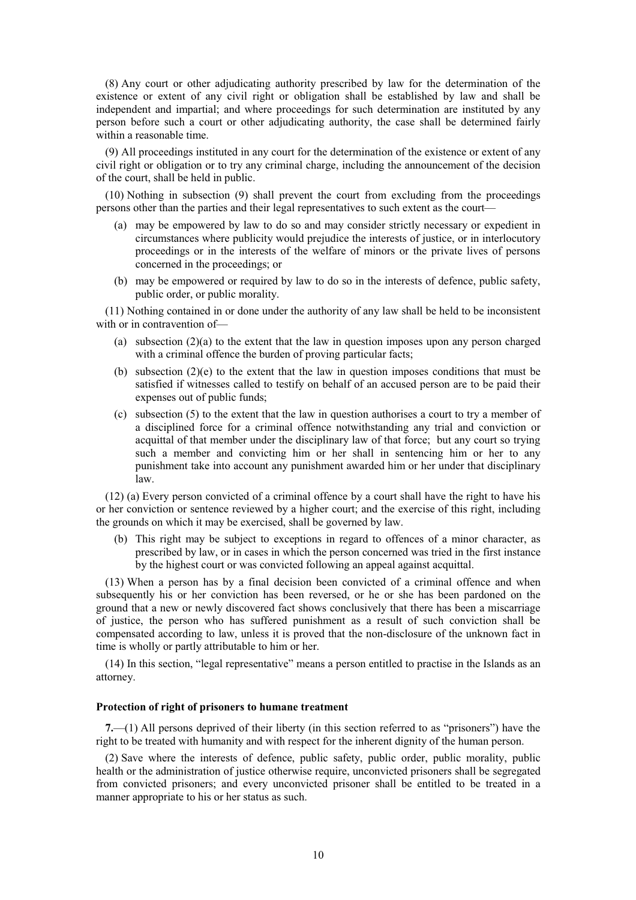(8) Any court or other adjudicating authority prescribed by law for the determination of the existence or extent of any civil right or obligation shall be established by law and shall be independent and impartial; and where proceedings for such determination are instituted by any person before such a court or other adjudicating authority, the case shall be determined fairly within a reasonable time.

(9) All proceedings instituted in any court for the determination of the existence or extent of any civil right or obligation or to try any criminal charge, including the announcement of the decision of the court, shall be held in public.

(10) Nothing in subsection (9) shall prevent the court from excluding from the proceedings persons other than the parties and their legal representatives to such extent as the court—

- (a) may be empowered by law to do so and may consider strictly necessary or expedient in circumstances where publicity would prejudice the interests of justice, or in interlocutory proceedings or in the interests of the welfare of minors or the private lives of persons concerned in the proceedings; or
- (b) may be empowered or required by law to do so in the interests of defence, public safety, public order, or public morality.

(11) Nothing contained in or done under the authority of any law shall be held to be inconsistent with or in contravention of—

- (a) subsection  $(2)(a)$  to the extent that the law in question imposes upon any person charged with a criminal offence the burden of proving particular facts;
- (b) subsection  $(2)(e)$  to the extent that the law in question imposes conditions that must be satisfied if witnesses called to testify on behalf of an accused person are to be paid their expenses out of public funds;
- (c) subsection (5) to the extent that the law in question authorises a court to try a member of a disciplined force for a criminal offence notwithstanding any trial and conviction or acquittal of that member under the disciplinary law of that force; but any court so trying such a member and convicting him or her shall in sentencing him or her to any punishment take into account any punishment awarded him or her under that disciplinary law.

(12) (a) Every person convicted of a criminal offence by a court shall have the right to have his or her conviction or sentence reviewed by a higher court; and the exercise of this right, including the grounds on which it may be exercised, shall be governed by law.

(b) This right may be subject to exceptions in regard to offences of a minor character, as prescribed by law, or in cases in which the person concerned was tried in the first instance by the highest court or was convicted following an appeal against acquittal.

(13) When a person has by a final decision been convicted of a criminal offence and when subsequently his or her conviction has been reversed, or he or she has been pardoned on the ground that a new or newly discovered fact shows conclusively that there has been a miscarriage of justice, the person who has suffered punishment as a result of such conviction shall be compensated according to law, unless it is proved that the non-disclosure of the unknown fact in time is wholly or partly attributable to him or her.

(14) In this section, "legal representative" means a person entitled to practise in the Islands as an attorney.

## **Protection of right of prisoners to humane treatment**

**7.**—(1) All persons deprived of their liberty (in this section referred to as "prisoners") have the right to be treated with humanity and with respect for the inherent dignity of the human person.

(2) Save where the interests of defence, public safety, public order, public morality, public health or the administration of justice otherwise require, unconvicted prisoners shall be segregated from convicted prisoners; and every unconvicted prisoner shall be entitled to be treated in a manner appropriate to his or her status as such.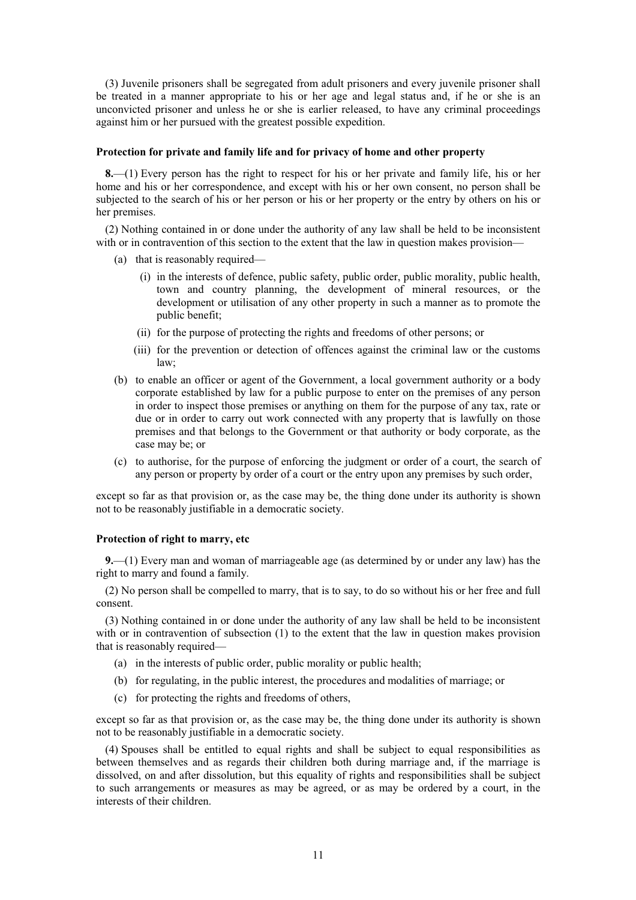(3) Juvenile prisoners shall be segregated from adult prisoners and every juvenile prisoner shall be treated in a manner appropriate to his or her age and legal status and, if he or she is an unconvicted prisoner and unless he or she is earlier released, to have any criminal proceedings against him or her pursued with the greatest possible expedition.

#### **Protection for private and family life and for privacy of home and other property**

**8.**—(1) Every person has the right to respect for his or her private and family life, his or her home and his or her correspondence, and except with his or her own consent, no person shall be subjected to the search of his or her person or his or her property or the entry by others on his or her premises.

(2) Nothing contained in or done under the authority of any law shall be held to be inconsistent with or in contravention of this section to the extent that the law in question makes provision—

- (a) that is reasonably required—
	- (i) in the interests of defence, public safety, public order, public morality, public health, town and country planning, the development of mineral resources, or the development or utilisation of any other property in such a manner as to promote the public benefit;
	- (ii) for the purpose of protecting the rights and freedoms of other persons; or
	- (iii) for the prevention or detection of offences against the criminal law or the customs law;
- (b) to enable an officer or agent of the Government, a local government authority or a body corporate established by law for a public purpose to enter on the premises of any person in order to inspect those premises or anything on them for the purpose of any tax, rate or due or in order to carry out work connected with any property that is lawfully on those premises and that belongs to the Government or that authority or body corporate, as the case may be; or
- (c) to authorise, for the purpose of enforcing the judgment or order of a court, the search of any person or property by order of a court or the entry upon any premises by such order,

except so far as that provision or, as the case may be, the thing done under its authority is shown not to be reasonably justifiable in a democratic society.

#### **Protection of right to marry, etc**

**9.**—(1) Every man and woman of marriageable age (as determined by or under any law) has the right to marry and found a family.

(2) No person shall be compelled to marry, that is to say, to do so without his or her free and full consent.

(3) Nothing contained in or done under the authority of any law shall be held to be inconsistent with or in contravention of subsection (1) to the extent that the law in question makes provision that is reasonably required—

- (a) in the interests of public order, public morality or public health;
- (b) for regulating, in the public interest, the procedures and modalities of marriage; or
- (c) for protecting the rights and freedoms of others,

except so far as that provision or, as the case may be, the thing done under its authority is shown not to be reasonably justifiable in a democratic society.

(4) Spouses shall be entitled to equal rights and shall be subject to equal responsibilities as between themselves and as regards their children both during marriage and, if the marriage is dissolved, on and after dissolution, but this equality of rights and responsibilities shall be subject to such arrangements or measures as may be agreed, or as may be ordered by a court, in the interests of their children.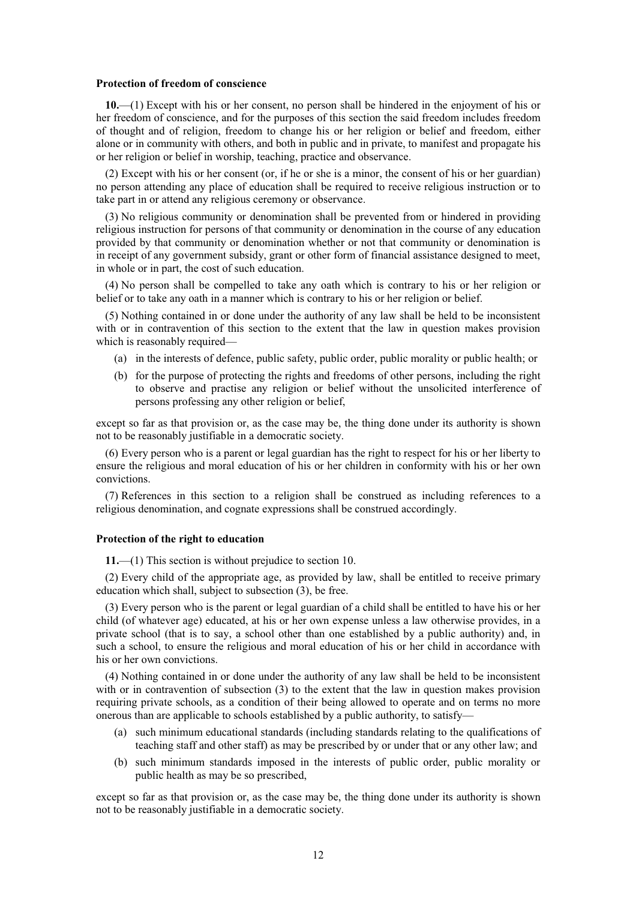#### **Protection of freedom of conscience**

**10.**—(1) Except with his or her consent, no person shall be hindered in the enjoyment of his or her freedom of conscience, and for the purposes of this section the said freedom includes freedom of thought and of religion, freedom to change his or her religion or belief and freedom, either alone or in community with others, and both in public and in private, to manifest and propagate his or her religion or belief in worship, teaching, practice and observance.

(2) Except with his or her consent (or, if he or she is a minor, the consent of his or her guardian) no person attending any place of education shall be required to receive religious instruction or to take part in or attend any religious ceremony or observance.

(3) No religious community or denomination shall be prevented from or hindered in providing religious instruction for persons of that community or denomination in the course of any education provided by that community or denomination whether or not that community or denomination is in receipt of any government subsidy, grant or other form of financial assistance designed to meet, in whole or in part, the cost of such education.

(4) No person shall be compelled to take any oath which is contrary to his or her religion or belief or to take any oath in a manner which is contrary to his or her religion or belief.

(5) Nothing contained in or done under the authority of any law shall be held to be inconsistent with or in contravention of this section to the extent that the law in question makes provision which is reasonably required—

- (a) in the interests of defence, public safety, public order, public morality or public health; or
- (b) for the purpose of protecting the rights and freedoms of other persons, including the right to observe and practise any religion or belief without the unsolicited interference of persons professing any other religion or belief,

except so far as that provision or, as the case may be, the thing done under its authority is shown not to be reasonably justifiable in a democratic society.

(6) Every person who is a parent or legal guardian has the right to respect for his or her liberty to ensure the religious and moral education of his or her children in conformity with his or her own convictions.

(7) References in this section to a religion shall be construed as including references to a religious denomination, and cognate expressions shall be construed accordingly.

### **Protection of the right to education**

**11.**—(1) This section is without prejudice to section 10.

(2) Every child of the appropriate age, as provided by law, shall be entitled to receive primary education which shall, subject to subsection (3), be free.

(3) Every person who is the parent or legal guardian of a child shall be entitled to have his or her child (of whatever age) educated, at his or her own expense unless a law otherwise provides, in a private school (that is to say, a school other than one established by a public authority) and, in such a school, to ensure the religious and moral education of his or her child in accordance with his or her own convictions.

(4) Nothing contained in or done under the authority of any law shall be held to be inconsistent with or in contravention of subsection (3) to the extent that the law in question makes provision requiring private schools, as a condition of their being allowed to operate and on terms no more onerous than are applicable to schools established by a public authority, to satisfy—

- (a) such minimum educational standards (including standards relating to the qualifications of teaching staff and other staff) as may be prescribed by or under that or any other law; and
- (b) such minimum standards imposed in the interests of public order, public morality or public health as may be so prescribed,

except so far as that provision or, as the case may be, the thing done under its authority is shown not to be reasonably justifiable in a democratic society.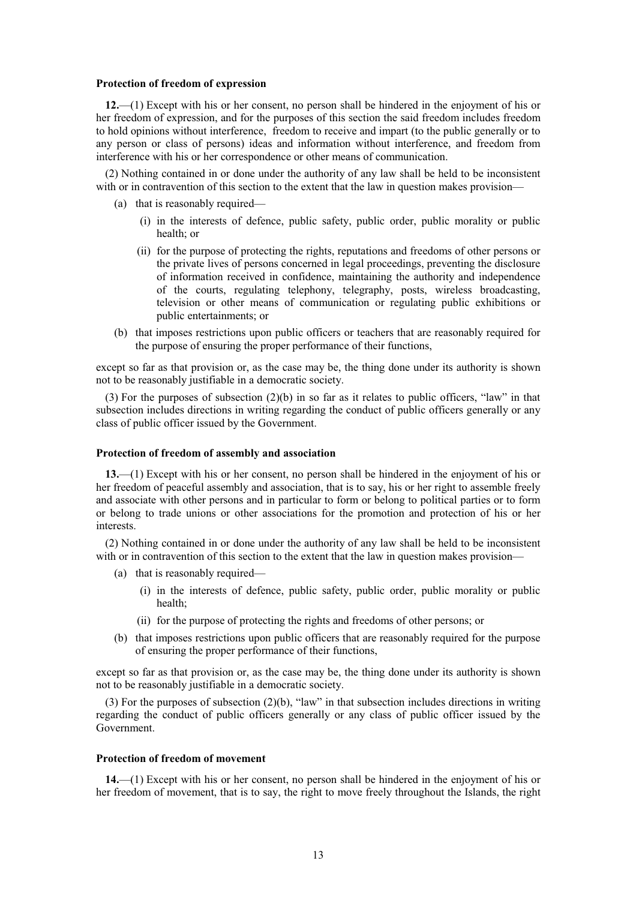#### **Protection of freedom of expression**

**12.**—(1) Except with his or her consent, no person shall be hindered in the enjoyment of his or her freedom of expression, and for the purposes of this section the said freedom includes freedom to hold opinions without interference, freedom to receive and impart (to the public generally or to any person or class of persons) ideas and information without interference, and freedom from interference with his or her correspondence or other means of communication.

(2) Nothing contained in or done under the authority of any law shall be held to be inconsistent with or in contravention of this section to the extent that the law in question makes provision—

- (a) that is reasonably required—
	- (i) in the interests of defence, public safety, public order, public morality or public health; or
	- (ii) for the purpose of protecting the rights, reputations and freedoms of other persons or the private lives of persons concerned in legal proceedings, preventing the disclosure of information received in confidence, maintaining the authority and independence of the courts, regulating telephony, telegraphy, posts, wireless broadcasting, television or other means of communication or regulating public exhibitions or public entertainments; or
- (b) that imposes restrictions upon public officers or teachers that are reasonably required for the purpose of ensuring the proper performance of their functions,

except so far as that provision or, as the case may be, the thing done under its authority is shown not to be reasonably justifiable in a democratic society.

(3) For the purposes of subsection (2)(b) in so far as it relates to public officers, "law" in that subsection includes directions in writing regarding the conduct of public officers generally or any class of public officer issued by the Government.

### **Protection of freedom of assembly and association**

**13.**—(1) Except with his or her consent, no person shall be hindered in the enjoyment of his or her freedom of peaceful assembly and association, that is to say, his or her right to assemble freely and associate with other persons and in particular to form or belong to political parties or to form or belong to trade unions or other associations for the promotion and protection of his or her interests.

(2) Nothing contained in or done under the authority of any law shall be held to be inconsistent with or in contravention of this section to the extent that the law in question makes provision—

- (a) that is reasonably required—
	- (i) in the interests of defence, public safety, public order, public morality or public health;
	- (ii) for the purpose of protecting the rights and freedoms of other persons; or
- (b) that imposes restrictions upon public officers that are reasonably required for the purpose of ensuring the proper performance of their functions,

except so far as that provision or, as the case may be, the thing done under its authority is shown not to be reasonably justifiable in a democratic society.

(3) For the purposes of subsection (2)(b), "law" in that subsection includes directions in writing regarding the conduct of public officers generally or any class of public officer issued by the Government.

#### **Protection of freedom of movement**

**14.**—(1) Except with his or her consent, no person shall be hindered in the enjoyment of his or her freedom of movement, that is to say, the right to move freely throughout the Islands, the right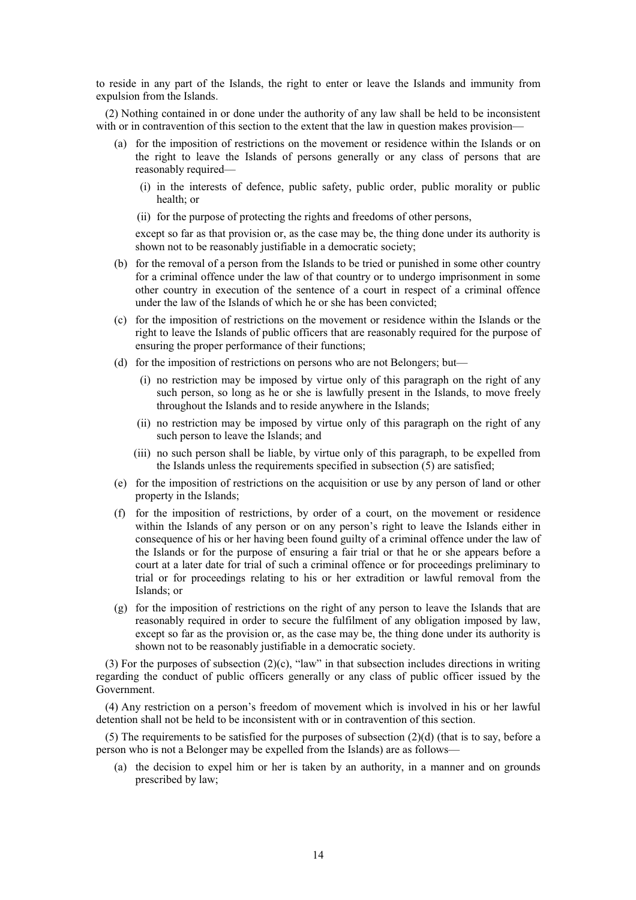to reside in any part of the Islands, the right to enter or leave the Islands and immunity from expulsion from the Islands.

(2) Nothing contained in or done under the authority of any law shall be held to be inconsistent with or in contravention of this section to the extent that the law in question makes provision—

- (a) for the imposition of restrictions on the movement or residence within the Islands or on the right to leave the Islands of persons generally or any class of persons that are reasonably required—
	- (i) in the interests of defence, public safety, public order, public morality or public health; or
	- (ii) for the purpose of protecting the rights and freedoms of other persons,

except so far as that provision or, as the case may be, the thing done under its authority is shown not to be reasonably justifiable in a democratic society;

- (b) for the removal of a person from the Islands to be tried or punished in some other country for a criminal offence under the law of that country or to undergo imprisonment in some other country in execution of the sentence of a court in respect of a criminal offence under the law of the Islands of which he or she has been convicted;
- (c) for the imposition of restrictions on the movement or residence within the Islands or the right to leave the Islands of public officers that are reasonably required for the purpose of ensuring the proper performance of their functions;
- (d) for the imposition of restrictions on persons who are not Belongers; but—
	- (i) no restriction may be imposed by virtue only of this paragraph on the right of any such person, so long as he or she is lawfully present in the Islands, to move freely throughout the Islands and to reside anywhere in the Islands;
	- (ii) no restriction may be imposed by virtue only of this paragraph on the right of any such person to leave the Islands; and
	- (iii) no such person shall be liable, by virtue only of this paragraph, to be expelled from the Islands unless the requirements specified in subsection (5) are satisfied;
- (e) for the imposition of restrictions on the acquisition or use by any person of land or other property in the Islands;
- (f) for the imposition of restrictions, by order of a court, on the movement or residence within the Islands of any person or on any person's right to leave the Islands either in consequence of his or her having been found guilty of a criminal offence under the law of the Islands or for the purpose of ensuring a fair trial or that he or she appears before a court at a later date for trial of such a criminal offence or for proceedings preliminary to trial or for proceedings relating to his or her extradition or lawful removal from the Islands; or
- (g) for the imposition of restrictions on the right of any person to leave the Islands that are reasonably required in order to secure the fulfilment of any obligation imposed by law, except so far as the provision or, as the case may be, the thing done under its authority is shown not to be reasonably justifiable in a democratic society.

(3) For the purposes of subsection (2)(c), "law" in that subsection includes directions in writing regarding the conduct of public officers generally or any class of public officer issued by the Government.

(4) Any restriction on a person's freedom of movement which is involved in his or her lawful detention shall not be held to be inconsistent with or in contravention of this section.

(5) The requirements to be satisfied for the purposes of subsection (2)(d) (that is to say, before a person who is not a Belonger may be expelled from the Islands) are as follows—

(a) the decision to expel him or her is taken by an authority, in a manner and on grounds prescribed by law;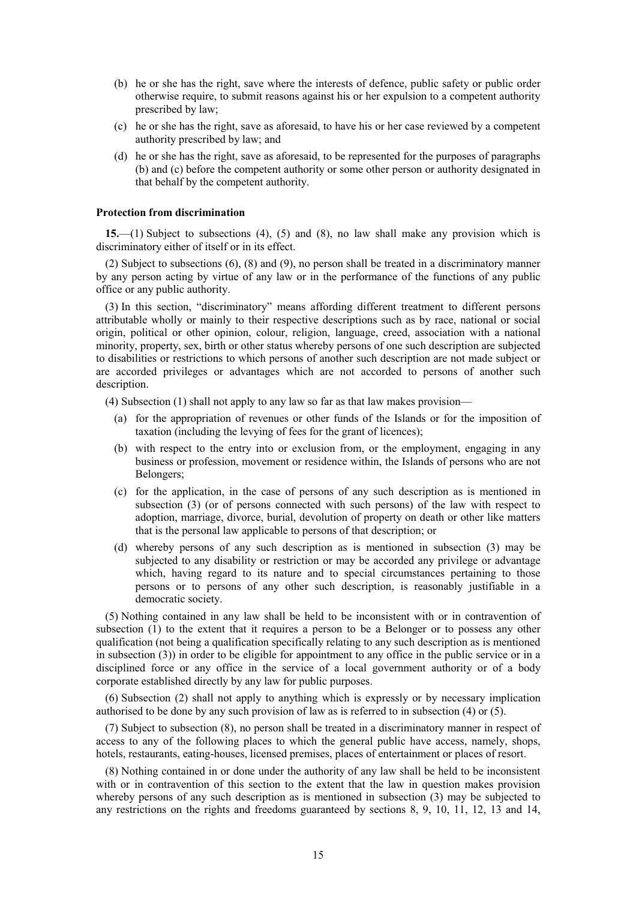- (b) he or she has the right, save where the interests of defence, public safety or public order otherwise require, to submit reasons against his or her expulsion to a competent authority prescribed by law;
- (c) he or she has the right, save as aforesaid, to have his or her case reviewed by a competent authority prescribed by law; and
- (d) he or she has the right, save as aforesaid, to be represented for the purposes of paragraphs (b) and (c) before the competent authority or some other person or authority designated in that behalf by the competent authority.

#### **Protection from discrimination**

**15.**—(1) Subject to subsections (4), (5) and (8), no law shall make any provision which is discriminatory either of itself or in its effect.

(2) Subject to subsections (6), (8) and (9), no person shall be treated in a discriminatory manner by any person acting by virtue of any law or in the performance of the functions of any public office or any public authority.

(3) In this section, "discriminatory" means affording different treatment to different persons attributable wholly or mainly to their respective descriptions such as by race, national or social origin, political or other opinion, colour, religion, language, creed, association with a national minority, property, sex, birth or other status whereby persons of one such description are subjected to disabilities or restrictions to which persons of another such description are not made subject or are accorded privileges or advantages which are not accorded to persons of another such description.

(4) Subsection (1) shall not apply to any law so far as that law makes provision—

- (a) for the appropriation of revenues or other funds of the Islands or for the imposition of taxation (including the levying of fees for the grant of licences);
- (b) with respect to the entry into or exclusion from, or the employment, engaging in any business or profession, movement or residence within, the Islands of persons who are not Belongers;
- (c) for the application, in the case of persons of any such description as is mentioned in subsection (3) (or of persons connected with such persons) of the law with respect to adoption, marriage, divorce, burial, devolution of property on death or other like matters that is the personal law applicable to persons of that description; or
- (d) whereby persons of any such description as is mentioned in subsection (3) may be subjected to any disability or restriction or may be accorded any privilege or advantage which, having regard to its nature and to special circumstances pertaining to those persons or to persons of any other such description, is reasonably justifiable in a democratic society.

(5) Nothing contained in any law shall be held to be inconsistent with or in contravention of subsection (1) to the extent that it requires a person to be a Belonger or to possess any other qualification (not being a qualification specifically relating to any such description as is mentioned in subsection (3)) in order to be eligible for appointment to any office in the public service or in a disciplined force or any office in the service of a local government authority or of a body corporate established directly by any law for public purposes.

(6) Subsection (2) shall not apply to anything which is expressly or by necessary implication authorised to be done by any such provision of law as is referred to in subsection (4) or (5).

(7) Subject to subsection (8), no person shall be treated in a discriminatory manner in respect of access to any of the following places to which the general public have access, namely, shops, hotels, restaurants, eating-houses, licensed premises, places of entertainment or places of resort.

(8) Nothing contained in or done under the authority of any law shall be held to be inconsistent with or in contravention of this section to the extent that the law in question makes provision whereby persons of any such description as is mentioned in subsection (3) may be subjected to any restrictions on the rights and freedoms guaranteed by sections 8, 9, 10, 11, 12, 13 and 14,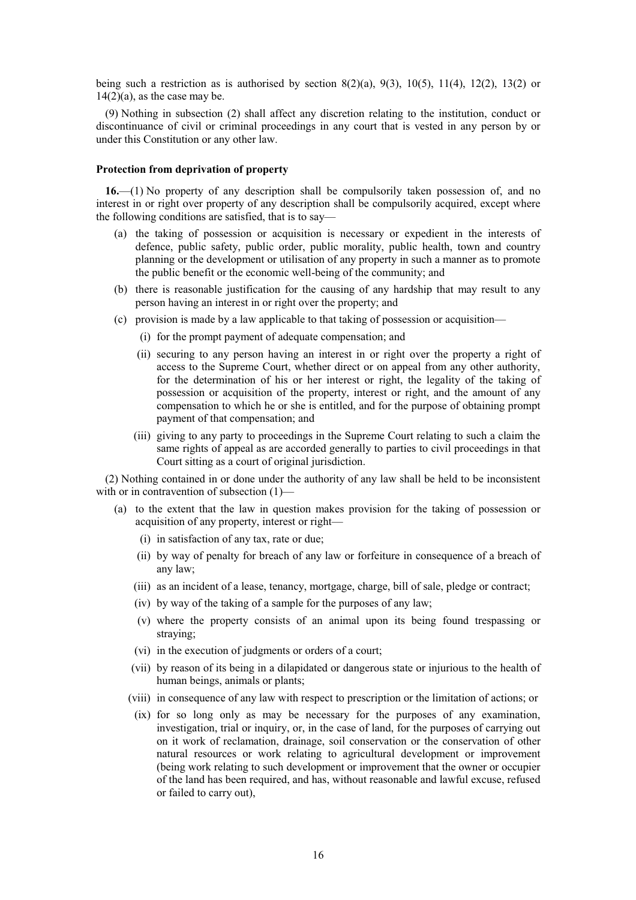being such a restriction as is authorised by section 8(2)(a), 9(3), 10(5), 11(4), 12(2), 13(2) or  $14(2)(a)$ , as the case may be.

(9) Nothing in subsection (2) shall affect any discretion relating to the institution, conduct or discontinuance of civil or criminal proceedings in any court that is vested in any person by or under this Constitution or any other law.

## **Protection from deprivation of property**

**16.**—(1) No property of any description shall be compulsorily taken possession of, and no interest in or right over property of any description shall be compulsorily acquired, except where the following conditions are satisfied, that is to say—

- (a) the taking of possession or acquisition is necessary or expedient in the interests of defence, public safety, public order, public morality, public health, town and country planning or the development or utilisation of any property in such a manner as to promote the public benefit or the economic well-being of the community; and
- (b) there is reasonable justification for the causing of any hardship that may result to any person having an interest in or right over the property; and
- (c) provision is made by a law applicable to that taking of possession or acquisition—
	- (i) for the prompt payment of adequate compensation; and
	- (ii) securing to any person having an interest in or right over the property a right of access to the Supreme Court, whether direct or on appeal from any other authority, for the determination of his or her interest or right, the legality of the taking of possession or acquisition of the property, interest or right, and the amount of any compensation to which he or she is entitled, and for the purpose of obtaining prompt payment of that compensation; and
	- (iii) giving to any party to proceedings in the Supreme Court relating to such a claim the same rights of appeal as are accorded generally to parties to civil proceedings in that Court sitting as a court of original jurisdiction.

(2) Nothing contained in or done under the authority of any law shall be held to be inconsistent with or in contravention of subsection  $(1)$ —

- (a) to the extent that the law in question makes provision for the taking of possession or acquisition of any property, interest or right—
	- (i) in satisfaction of any tax, rate or due;
	- (ii) by way of penalty for breach of any law or forfeiture in consequence of a breach of any law;
	- (iii) as an incident of a lease, tenancy, mortgage, charge, bill of sale, pledge or contract;
	- (iv) by way of the taking of a sample for the purposes of any law;
	- (v) where the property consists of an animal upon its being found trespassing or straying;
	- (vi) in the execution of judgments or orders of a court;
	- (vii) by reason of its being in a dilapidated or dangerous state or injurious to the health of human beings, animals or plants;
	- (viii) in consequence of any law with respect to prescription or the limitation of actions; or
	- (ix) for so long only as may be necessary for the purposes of any examination, investigation, trial or inquiry, or, in the case of land, for the purposes of carrying out on it work of reclamation, drainage, soil conservation or the conservation of other natural resources or work relating to agricultural development or improvement (being work relating to such development or improvement that the owner or occupier of the land has been required, and has, without reasonable and lawful excuse, refused or failed to carry out),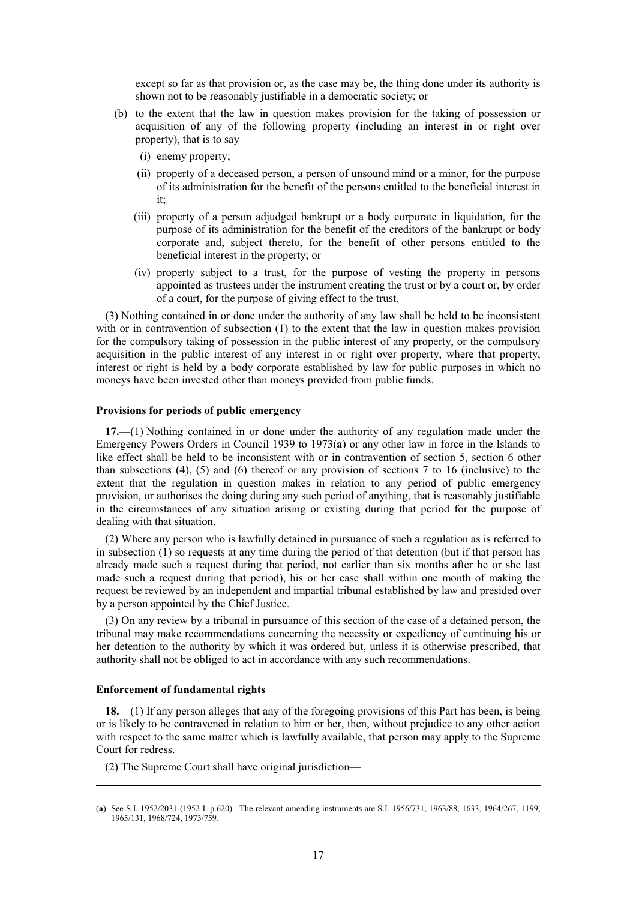except so far as that provision or, as the case may be, the thing done under its authority is shown not to be reasonably justifiable in a democratic society; or

- (b) to the extent that the law in question makes provision for the taking of possession or acquisition of any of the following property (including an interest in or right over property), that is to say—
	- (i) enemy property;
	- (ii) property of a deceased person, a person of unsound mind or a minor, for the purpose of its administration for the benefit of the persons entitled to the beneficial interest in it;
	- (iii) property of a person adjudged bankrupt or a body corporate in liquidation, for the purpose of its administration for the benefit of the creditors of the bankrupt or body corporate and, subject thereto, for the benefit of other persons entitled to the beneficial interest in the property; or
	- (iv) property subject to a trust, for the purpose of vesting the property in persons appointed as trustees under the instrument creating the trust or by a court or, by order of a court, for the purpose of giving effect to the trust.

(3) Nothing contained in or done under the authority of any law shall be held to be inconsistent with or in contravention of subsection (1) to the extent that the law in question makes provision for the compulsory taking of possession in the public interest of any property, or the compulsory acquisition in the public interest of any interest in or right over property, where that property, interest or right is held by a body corporate established by law for public purposes in which no moneys have been invested other than moneys provided from public funds.

#### **Provisions for periods of public emergency**

**17.**—(1) Nothing contained in or done under the authority of any regulation made under the Emergency Powers Orders in Council 1939 to 1973(**a**) or any other law in force in the Islands to like effect shall be held to be inconsistent with or in contravention of section 5, section 6 other than subsections (4), (5) and (6) thereof or any provision of sections 7 to 16 (inclusive) to the extent that the regulation in question makes in relation to any period of public emergency provision, or authorises the doing during any such period of anything, that is reasonably justifiable in the circumstances of any situation arising or existing during that period for the purpose of dealing with that situation.

(2) Where any person who is lawfully detained in pursuance of such a regulation as is referred to in subsection (1) so requests at any time during the period of that detention (but if that person has already made such a request during that period, not earlier than six months after he or she last made such a request during that period), his or her case shall within one month of making the request be reviewed by an independent and impartial tribunal established by law and presided over by a person appointed by the Chief Justice.

(3) On any review by a tribunal in pursuance of this section of the case of a detained person, the tribunal may make recommendations concerning the necessity or expediency of continuing his or her detention to the authority by which it was ordered but, unless it is otherwise prescribed, that authority shall not be obliged to act in accordance with any such recommendations.

#### **Enforcement of fundamental rights**

**18.**—(1) If any person alleges that any of the foregoing provisions of this Part has been, is being or is likely to be contravened in relation to him or her, then, without prejudice to any other action with respect to the same matter which is lawfully available, that person may apply to the Supreme Court for redress.

(2) The Supreme Court shall have original jurisdiction—

<sup>(</sup>**a**) See S.I. 1952/2031 (1952 I. p.620). The relevant amending instruments are S.I. 1956/731, 1963/88, 1633, 1964/267, 1199, 1965/131, 1968/724, 1973/759.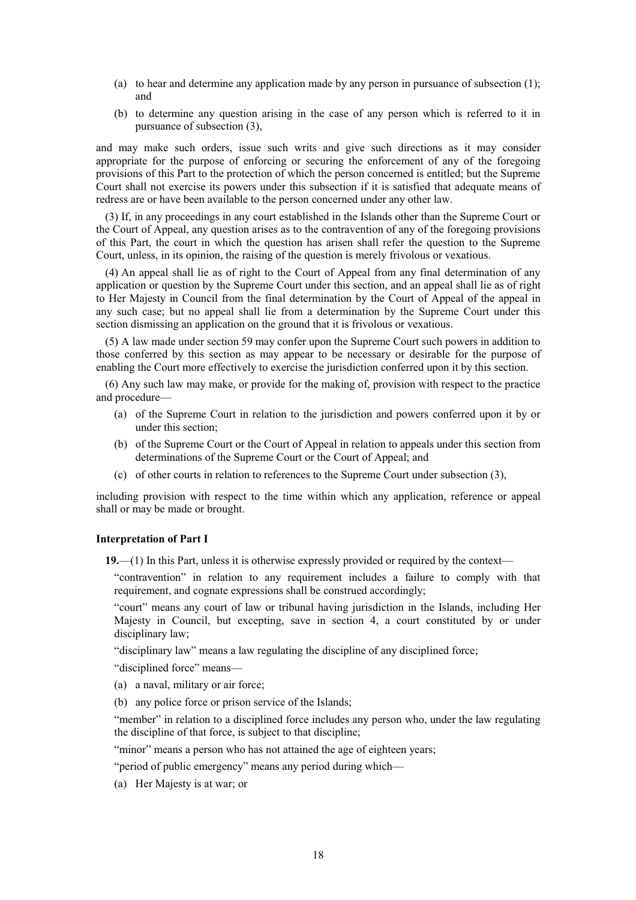- (a) to hear and determine any application made by any person in pursuance of subsection (1); and
- (b) to determine any question arising in the case of any person which is referred to it in pursuance of subsection (3),

and may make such orders, issue such writs and give such directions as it may consider appropriate for the purpose of enforcing or securing the enforcement of any of the foregoing provisions of this Part to the protection of which the person concerned is entitled; but the Supreme Court shall not exercise its powers under this subsection if it is satisfied that adequate means of redress are or have been available to the person concerned under any other law.

(3) If, in any proceedings in any court established in the Islands other than the Supreme Court or the Court of Appeal, any question arises as to the contravention of any of the foregoing provisions of this Part, the court in which the question has arisen shall refer the question to the Supreme Court, unless, in its opinion, the raising of the question is merely frivolous or vexatious.

(4) An appeal shall lie as of right to the Court of Appeal from any final determination of any application or question by the Supreme Court under this section, and an appeal shall lie as of right to Her Majesty in Council from the final determination by the Court of Appeal of the appeal in any such case; but no appeal shall lie from a determination by the Supreme Court under this section dismissing an application on the ground that it is frivolous or vexatious.

(5) A law made under section 59 may confer upon the Supreme Court such powers in addition to those conferred by this section as may appear to be necessary or desirable for the purpose of enabling the Court more effectively to exercise the jurisdiction conferred upon it by this section.

(6) Any such law may make, or provide for the making of, provision with respect to the practice and procedure—

- (a) of the Supreme Court in relation to the jurisdiction and powers conferred upon it by or under this section;
- (b) of the Supreme Court or the Court of Appeal in relation to appeals under this section from determinations of the Supreme Court or the Court of Appeal; and
- (c) of other courts in relation to references to the Supreme Court under subsection (3),

including provision with respect to the time within which any application, reference or appeal shall or may be made or brought.

### **Interpretation of Part I**

**19.**—(1) In this Part, unless it is otherwise expressly provided or required by the context—

"contravention" in relation to any requirement includes a failure to comply with that requirement, and cognate expressions shall be construed accordingly;

"court" means any court of law or tribunal having jurisdiction in the Islands, including Her Majesty in Council, but excepting, save in section 4, a court constituted by or under disciplinary law;

"disciplinary law" means a law regulating the discipline of any disciplined force;

"disciplined force" means—

- (a) a naval, military or air force;
- (b) any police force or prison service of the Islands;

"member" in relation to a disciplined force includes any person who, under the law regulating the discipline of that force, is subject to that discipline;

"minor" means a person who has not attained the age of eighteen years;

"period of public emergency" means any period during which—

(a) Her Majesty is at war; or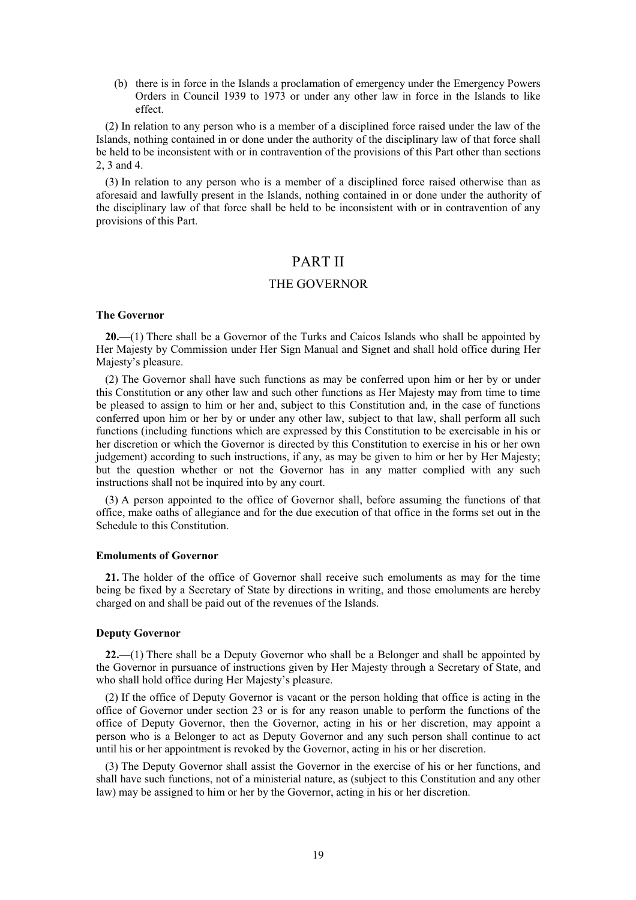(b) there is in force in the Islands a proclamation of emergency under the Emergency Powers Orders in Council 1939 to 1973 or under any other law in force in the Islands to like effect.

(2) In relation to any person who is a member of a disciplined force raised under the law of the Islands, nothing contained in or done under the authority of the disciplinary law of that force shall be held to be inconsistent with or in contravention of the provisions of this Part other than sections 2, 3 and 4.

(3) In relation to any person who is a member of a disciplined force raised otherwise than as aforesaid and lawfully present in the Islands, nothing contained in or done under the authority of the disciplinary law of that force shall be held to be inconsistent with or in contravention of any provisions of this Part.

# PART II

# THE GOVERNOR

#### **The Governor**

**20.**—(1) There shall be a Governor of the Turks and Caicos Islands who shall be appointed by Her Majesty by Commission under Her Sign Manual and Signet and shall hold office during Her Majesty's pleasure.

(2) The Governor shall have such functions as may be conferred upon him or her by or under this Constitution or any other law and such other functions as Her Majesty may from time to time be pleased to assign to him or her and, subject to this Constitution and, in the case of functions conferred upon him or her by or under any other law, subject to that law, shall perform all such functions (including functions which are expressed by this Constitution to be exercisable in his or her discretion or which the Governor is directed by this Constitution to exercise in his or her own judgement) according to such instructions, if any, as may be given to him or her by Her Majesty; but the question whether or not the Governor has in any matter complied with any such instructions shall not be inquired into by any court.

(3) A person appointed to the office of Governor shall, before assuming the functions of that office, make oaths of allegiance and for the due execution of that office in the forms set out in the Schedule to this Constitution.

## **Emoluments of Governor**

**21.** The holder of the office of Governor shall receive such emoluments as may for the time being be fixed by a Secretary of State by directions in writing, and those emoluments are hereby charged on and shall be paid out of the revenues of the Islands.

#### **Deputy Governor**

**22.**—(1) There shall be a Deputy Governor who shall be a Belonger and shall be appointed by the Governor in pursuance of instructions given by Her Majesty through a Secretary of State, and who shall hold office during Her Majesty's pleasure.

(2) If the office of Deputy Governor is vacant or the person holding that office is acting in the office of Governor under section 23 or is for any reason unable to perform the functions of the office of Deputy Governor, then the Governor, acting in his or her discretion, may appoint a person who is a Belonger to act as Deputy Governor and any such person shall continue to act until his or her appointment is revoked by the Governor, acting in his or her discretion.

(3) The Deputy Governor shall assist the Governor in the exercise of his or her functions, and shall have such functions, not of a ministerial nature, as (subject to this Constitution and any other law) may be assigned to him or her by the Governor, acting in his or her discretion.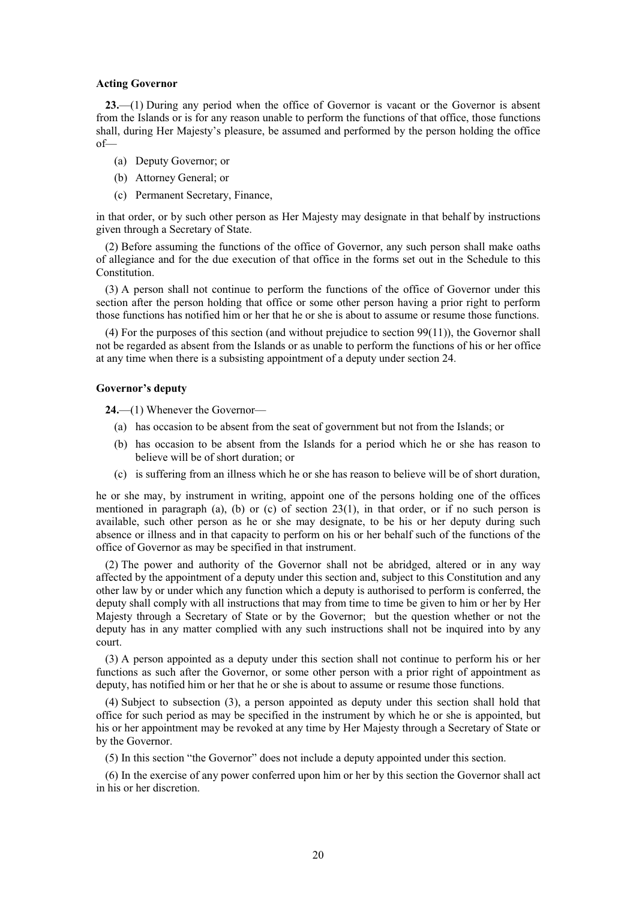#### **Acting Governor**

**23.**—(1) During any period when the office of Governor is vacant or the Governor is absent from the Islands or is for any reason unable to perform the functions of that office, those functions shall, during Her Majesty's pleasure, be assumed and performed by the person holding the office of—

- (a) Deputy Governor; or
- (b) Attorney General; or
- (c) Permanent Secretary, Finance,

in that order, or by such other person as Her Majesty may designate in that behalf by instructions given through a Secretary of State.

(2) Before assuming the functions of the office of Governor, any such person shall make oaths of allegiance and for the due execution of that office in the forms set out in the Schedule to this Constitution.

(3) A person shall not continue to perform the functions of the office of Governor under this section after the person holding that office or some other person having a prior right to perform those functions has notified him or her that he or she is about to assume or resume those functions.

(4) For the purposes of this section (and without prejudice to section 99(11)), the Governor shall not be regarded as absent from the Islands or as unable to perform the functions of his or her office at any time when there is a subsisting appointment of a deputy under section 24.

#### **Governor's deputy**

**24.**—(1) Whenever the Governor—

- (a) has occasion to be absent from the seat of government but not from the Islands; or
- (b) has occasion to be absent from the Islands for a period which he or she has reason to believe will be of short duration; or
- (c) is suffering from an illness which he or she has reason to believe will be of short duration,

he or she may, by instrument in writing, appoint one of the persons holding one of the offices mentioned in paragraph (a), (b) or (c) of section 23(1), in that order, or if no such person is available, such other person as he or she may designate, to be his or her deputy during such absence or illness and in that capacity to perform on his or her behalf such of the functions of the office of Governor as may be specified in that instrument.

(2) The power and authority of the Governor shall not be abridged, altered or in any way affected by the appointment of a deputy under this section and, subject to this Constitution and any other law by or under which any function which a deputy is authorised to perform is conferred, the deputy shall comply with all instructions that may from time to time be given to him or her by Her Majesty through a Secretary of State or by the Governor; but the question whether or not the deputy has in any matter complied with any such instructions shall not be inquired into by any court.

(3) A person appointed as a deputy under this section shall not continue to perform his or her functions as such after the Governor, or some other person with a prior right of appointment as deputy, has notified him or her that he or she is about to assume or resume those functions.

(4) Subject to subsection (3), a person appointed as deputy under this section shall hold that office for such period as may be specified in the instrument by which he or she is appointed, but his or her appointment may be revoked at any time by Her Majesty through a Secretary of State or by the Governor.

(5) In this section "the Governor" does not include a deputy appointed under this section.

(6) In the exercise of any power conferred upon him or her by this section the Governor shall act in his or her discretion.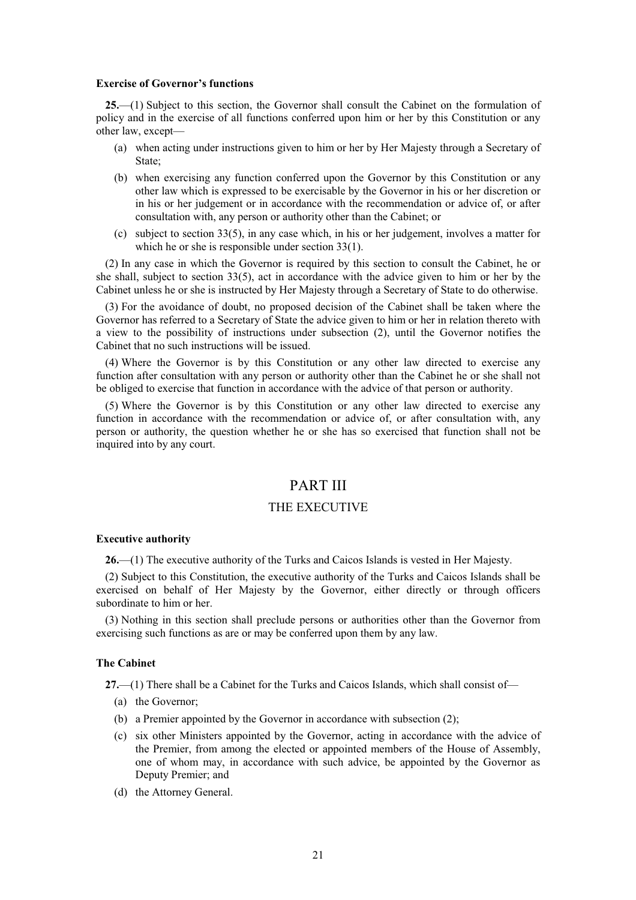#### **Exercise of Governor's functions**

**25.**—(1) Subject to this section, the Governor shall consult the Cabinet on the formulation of policy and in the exercise of all functions conferred upon him or her by this Constitution or any other law, except—

- (a) when acting under instructions given to him or her by Her Majesty through a Secretary of State;
- (b) when exercising any function conferred upon the Governor by this Constitution or any other law which is expressed to be exercisable by the Governor in his or her discretion or in his or her judgement or in accordance with the recommendation or advice of, or after consultation with, any person or authority other than the Cabinet; or
- (c) subject to section 33(5), in any case which, in his or her judgement, involves a matter for which he or she is responsible under section 33(1).

(2) In any case in which the Governor is required by this section to consult the Cabinet, he or she shall, subject to section 33(5), act in accordance with the advice given to him or her by the Cabinet unless he or she is instructed by Her Majesty through a Secretary of State to do otherwise.

(3) For the avoidance of doubt, no proposed decision of the Cabinet shall be taken where the Governor has referred to a Secretary of State the advice given to him or her in relation thereto with a view to the possibility of instructions under subsection (2), until the Governor notifies the Cabinet that no such instructions will be issued.

(4) Where the Governor is by this Constitution or any other law directed to exercise any function after consultation with any person or authority other than the Cabinet he or she shall not be obliged to exercise that function in accordance with the advice of that person or authority.

(5) Where the Governor is by this Constitution or any other law directed to exercise any function in accordance with the recommendation or advice of, or after consultation with, any person or authority, the question whether he or she has so exercised that function shall not be inquired into by any court.

# PART III

## THE EXECUTIVE

#### **Executive authority**

**26.**—(1) The executive authority of the Turks and Caicos Islands is vested in Her Majesty.

(2) Subject to this Constitution, the executive authority of the Turks and Caicos Islands shall be exercised on behalf of Her Majesty by the Governor, either directly or through officers subordinate to him or her.

(3) Nothing in this section shall preclude persons or authorities other than the Governor from exercising such functions as are or may be conferred upon them by any law.

#### **The Cabinet**

**27.**—(1) There shall be a Cabinet for the Turks and Caicos Islands, which shall consist of—

- (a) the Governor;
- (b) a Premier appointed by the Governor in accordance with subsection (2);
- (c) six other Ministers appointed by the Governor, acting in accordance with the advice of the Premier, from among the elected or appointed members of the House of Assembly, one of whom may, in accordance with such advice, be appointed by the Governor as Deputy Premier; and
- (d) the Attorney General.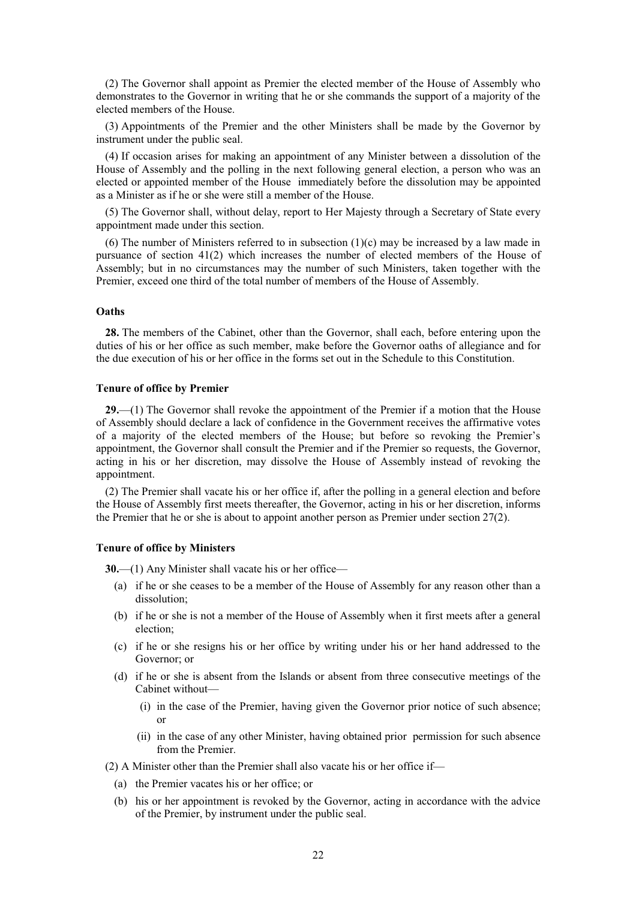(2) The Governor shall appoint as Premier the elected member of the House of Assembly who demonstrates to the Governor in writing that he or she commands the support of a majority of the elected members of the House.

(3) Appointments of the Premier and the other Ministers shall be made by the Governor by instrument under the public seal.

(4) If occasion arises for making an appointment of any Minister between a dissolution of the House of Assembly and the polling in the next following general election, a person who was an elected or appointed member of the House immediately before the dissolution may be appointed as a Minister as if he or she were still a member of the House.

(5) The Governor shall, without delay, report to Her Majesty through a Secretary of State every appointment made under this section.

(6) The number of Ministers referred to in subsection  $(1)(c)$  may be increased by a law made in pursuance of section 41(2) which increases the number of elected members of the House of Assembly; but in no circumstances may the number of such Ministers, taken together with the Premier, exceed one third of the total number of members of the House of Assembly.

### **Oaths**

**28.** The members of the Cabinet, other than the Governor, shall each, before entering upon the duties of his or her office as such member, make before the Governor oaths of allegiance and for the due execution of his or her office in the forms set out in the Schedule to this Constitution.

#### **Tenure of office by Premier**

**29.**—(1) The Governor shall revoke the appointment of the Premier if a motion that the House of Assembly should declare a lack of confidence in the Government receives the affirmative votes of a majority of the elected members of the House; but before so revoking the Premier's appointment, the Governor shall consult the Premier and if the Premier so requests, the Governor, acting in his or her discretion, may dissolve the House of Assembly instead of revoking the appointment.

(2) The Premier shall vacate his or her office if, after the polling in a general election and before the House of Assembly first meets thereafter, the Governor, acting in his or her discretion, informs the Premier that he or she is about to appoint another person as Premier under section 27(2).

### **Tenure of office by Ministers**

**30.**—(1) Any Minister shall vacate his or her office—

- (a) if he or she ceases to be a member of the House of Assembly for any reason other than a dissolution;
- (b) if he or she is not a member of the House of Assembly when it first meets after a general election;
- (c) if he or she resigns his or her office by writing under his or her hand addressed to the Governor; or
- (d) if he or she is absent from the Islands or absent from three consecutive meetings of the Cabinet without—
	- (i) in the case of the Premier, having given the Governor prior notice of such absence; or
	- (ii) in the case of any other Minister, having obtained prior permission for such absence from the Premier.
- (2) A Minister other than the Premier shall also vacate his or her office if—
	- (a) the Premier vacates his or her office; or
	- (b) his or her appointment is revoked by the Governor, acting in accordance with the advice of the Premier, by instrument under the public seal.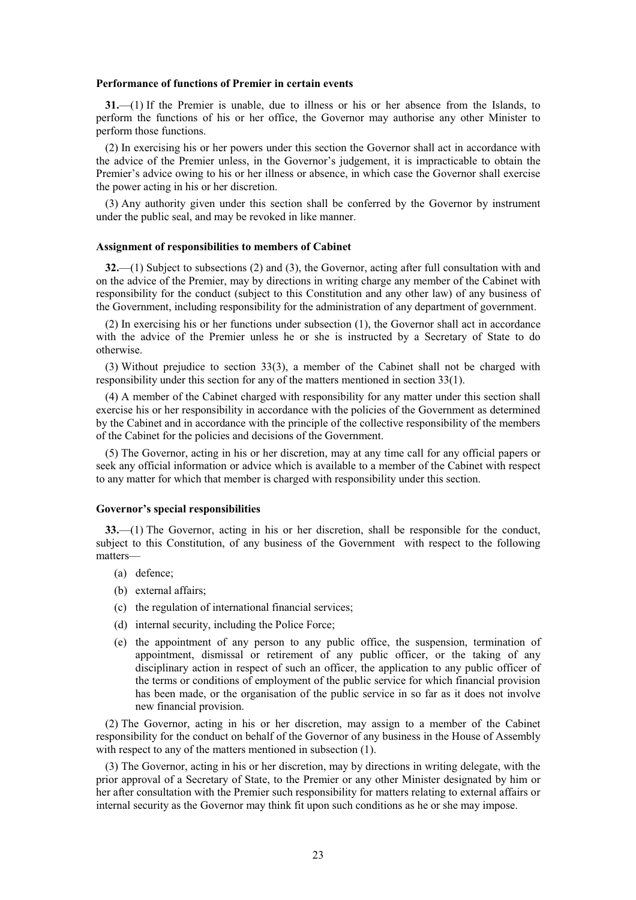#### **Performance of functions of Premier in certain events**

**31.**—(1) If the Premier is unable, due to illness or his or her absence from the Islands, to perform the functions of his or her office, the Governor may authorise any other Minister to perform those functions.

(2) In exercising his or her powers under this section the Governor shall act in accordance with the advice of the Premier unless, in the Governor's judgement, it is impracticable to obtain the Premier's advice owing to his or her illness or absence, in which case the Governor shall exercise the power acting in his or her discretion.

(3) Any authority given under this section shall be conferred by the Governor by instrument under the public seal, and may be revoked in like manner.

#### **Assignment of responsibilities to members of Cabinet**

**32.**—(1) Subject to subsections (2) and (3), the Governor, acting after full consultation with and on the advice of the Premier, may by directions in writing charge any member of the Cabinet with responsibility for the conduct (subject to this Constitution and any other law) of any business of the Government, including responsibility for the administration of any department of government.

(2) In exercising his or her functions under subsection (1), the Governor shall act in accordance with the advice of the Premier unless he or she is instructed by a Secretary of State to do otherwise.

(3) Without prejudice to section 33(3), a member of the Cabinet shall not be charged with responsibility under this section for any of the matters mentioned in section 33(1).

(4) A member of the Cabinet charged with responsibility for any matter under this section shall exercise his or her responsibility in accordance with the policies of the Government as determined by the Cabinet and in accordance with the principle of the collective responsibility of the members of the Cabinet for the policies and decisions of the Government.

(5) The Governor, acting in his or her discretion, may at any time call for any official papers or seek any official information or advice which is available to a member of the Cabinet with respect to any matter for which that member is charged with responsibility under this section.

#### **Governor's special responsibilities**

**33.**—(1) The Governor, acting in his or her discretion, shall be responsible for the conduct, subject to this Constitution, of any business of the Government with respect to the following matters—

- (a) defence;
- (b) external affairs;
- (c) the regulation of international financial services;
- (d) internal security, including the Police Force;
- (e) the appointment of any person to any public office, the suspension, termination of appointment, dismissal or retirement of any public officer, or the taking of any disciplinary action in respect of such an officer, the application to any public officer of the terms or conditions of employment of the public service for which financial provision has been made, or the organisation of the public service in so far as it does not involve new financial provision.

(2) The Governor, acting in his or her discretion, may assign to a member of the Cabinet responsibility for the conduct on behalf of the Governor of any business in the House of Assembly with respect to any of the matters mentioned in subsection  $(1)$ .

(3) The Governor, acting in his or her discretion, may by directions in writing delegate, with the prior approval of a Secretary of State, to the Premier or any other Minister designated by him or her after consultation with the Premier such responsibility for matters relating to external affairs or internal security as the Governor may think fit upon such conditions as he or she may impose.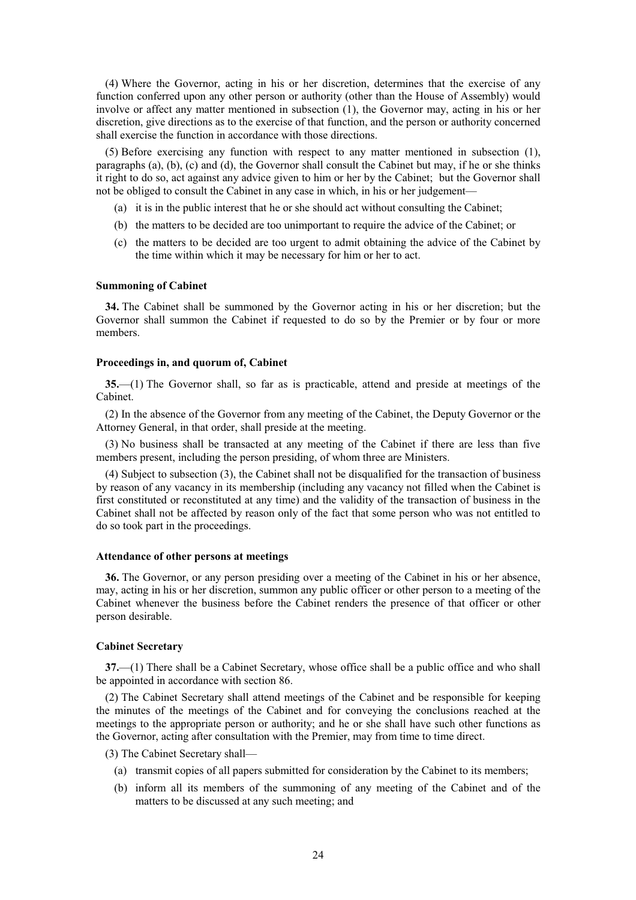(4) Where the Governor, acting in his or her discretion, determines that the exercise of any function conferred upon any other person or authority (other than the House of Assembly) would involve or affect any matter mentioned in subsection (1), the Governor may, acting in his or her discretion, give directions as to the exercise of that function, and the person or authority concerned shall exercise the function in accordance with those directions.

(5) Before exercising any function with respect to any matter mentioned in subsection (1), paragraphs (a), (b), (c) and (d), the Governor shall consult the Cabinet but may, if he or she thinks it right to do so, act against any advice given to him or her by the Cabinet; but the Governor shall not be obliged to consult the Cabinet in any case in which, in his or her judgement—

- (a) it is in the public interest that he or she should act without consulting the Cabinet;
- (b) the matters to be decided are too unimportant to require the advice of the Cabinet; or
- (c) the matters to be decided are too urgent to admit obtaining the advice of the Cabinet by the time within which it may be necessary for him or her to act.

## **Summoning of Cabinet**

**34.** The Cabinet shall be summoned by the Governor acting in his or her discretion; but the Governor shall summon the Cabinet if requested to do so by the Premier or by four or more members.

#### **Proceedings in, and quorum of, Cabinet**

**35.**—(1) The Governor shall, so far as is practicable, attend and preside at meetings of the Cabinet.

(2) In the absence of the Governor from any meeting of the Cabinet, the Deputy Governor or the Attorney General, in that order, shall preside at the meeting.

(3) No business shall be transacted at any meeting of the Cabinet if there are less than five members present, including the person presiding, of whom three are Ministers.

(4) Subject to subsection (3), the Cabinet shall not be disqualified for the transaction of business by reason of any vacancy in its membership (including any vacancy not filled when the Cabinet is first constituted or reconstituted at any time) and the validity of the transaction of business in the Cabinet shall not be affected by reason only of the fact that some person who was not entitled to do so took part in the proceedings.

### **Attendance of other persons at meetings**

**36.** The Governor, or any person presiding over a meeting of the Cabinet in his or her absence, may, acting in his or her discretion, summon any public officer or other person to a meeting of the Cabinet whenever the business before the Cabinet renders the presence of that officer or other person desirable.

#### **Cabinet Secretary**

**37.**—(1) There shall be a Cabinet Secretary, whose office shall be a public office and who shall be appointed in accordance with section 86.

(2) The Cabinet Secretary shall attend meetings of the Cabinet and be responsible for keeping the minutes of the meetings of the Cabinet and for conveying the conclusions reached at the meetings to the appropriate person or authority; and he or she shall have such other functions as the Governor, acting after consultation with the Premier, may from time to time direct.

(3) The Cabinet Secretary shall—

- (a) transmit copies of all papers submitted for consideration by the Cabinet to its members;
- (b) inform all its members of the summoning of any meeting of the Cabinet and of the matters to be discussed at any such meeting; and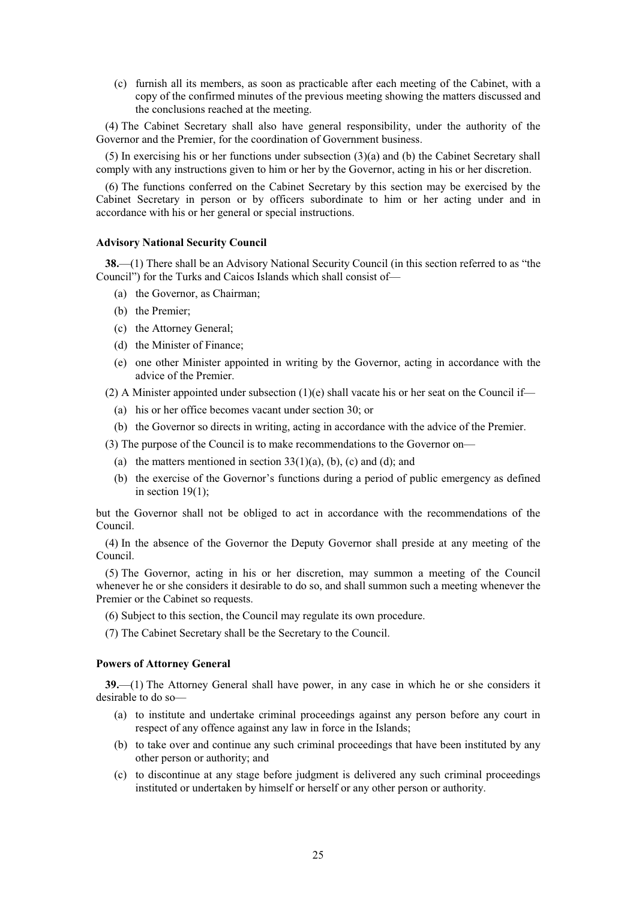(c) furnish all its members, as soon as practicable after each meeting of the Cabinet, with a copy of the confirmed minutes of the previous meeting showing the matters discussed and the conclusions reached at the meeting.

(4) The Cabinet Secretary shall also have general responsibility, under the authority of the Governor and the Premier, for the coordination of Government business.

(5) In exercising his or her functions under subsection (3)(a) and (b) the Cabinet Secretary shall comply with any instructions given to him or her by the Governor, acting in his or her discretion.

(6) The functions conferred on the Cabinet Secretary by this section may be exercised by the Cabinet Secretary in person or by officers subordinate to him or her acting under and in accordance with his or her general or special instructions.

#### **Advisory National Security Council**

**38.**—(1) There shall be an Advisory National Security Council (in this section referred to as "the Council") for the Turks and Caicos Islands which shall consist of—

- (a) the Governor, as Chairman;
- (b) the Premier;
- (c) the Attorney General;
- (d) the Minister of Finance;
- (e) one other Minister appointed in writing by the Governor, acting in accordance with the advice of the Premier.
- (2) A Minister appointed under subsection  $(1)(e)$  shall vacate his or her seat on the Council if—
	- (a) his or her office becomes vacant under section 30; or
	- (b) the Governor so directs in writing, acting in accordance with the advice of the Premier.

(3) The purpose of the Council is to make recommendations to the Governor on—

- (a) the matters mentioned in section  $33(1)(a)$ , (b), (c) and (d); and
- (b) the exercise of the Governor's functions during a period of public emergency as defined in section 19(1);

but the Governor shall not be obliged to act in accordance with the recommendations of the Council.

(4) In the absence of the Governor the Deputy Governor shall preside at any meeting of the Council.

(5) The Governor, acting in his or her discretion, may summon a meeting of the Council whenever he or she considers it desirable to do so, and shall summon such a meeting whenever the Premier or the Cabinet so requests.

- (6) Subject to this section, the Council may regulate its own procedure.
- (7) The Cabinet Secretary shall be the Secretary to the Council.

## **Powers of Attorney General**

**39.**—(1) The Attorney General shall have power, in any case in which he or she considers it desirable to do so—

- (a) to institute and undertake criminal proceedings against any person before any court in respect of any offence against any law in force in the Islands;
- (b) to take over and continue any such criminal proceedings that have been instituted by any other person or authority; and
- (c) to discontinue at any stage before judgment is delivered any such criminal proceedings instituted or undertaken by himself or herself or any other person or authority.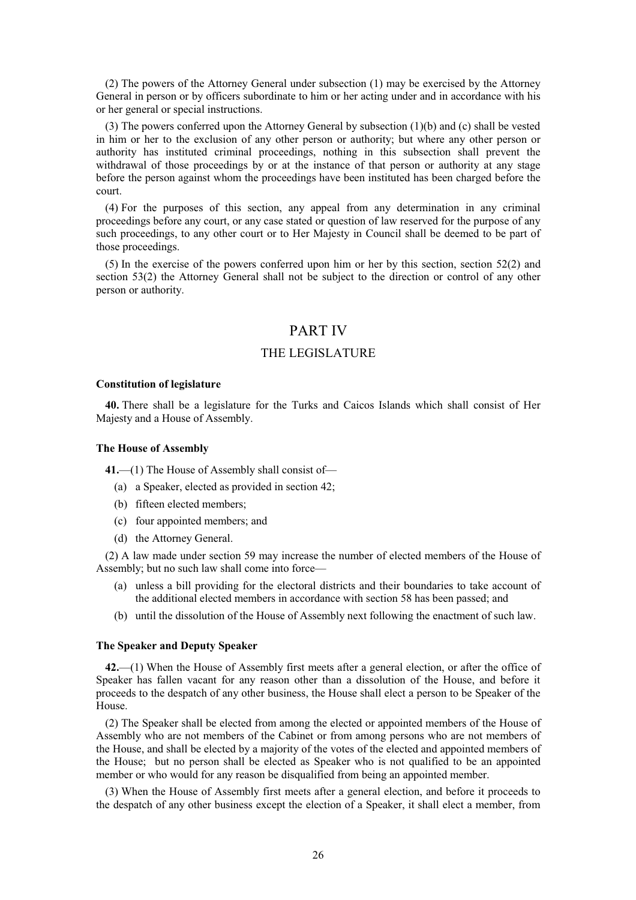(2) The powers of the Attorney General under subsection (1) may be exercised by the Attorney General in person or by officers subordinate to him or her acting under and in accordance with his or her general or special instructions.

(3) The powers conferred upon the Attorney General by subsection (1)(b) and (c) shall be vested in him or her to the exclusion of any other person or authority; but where any other person or authority has instituted criminal proceedings, nothing in this subsection shall prevent the withdrawal of those proceedings by or at the instance of that person or authority at any stage before the person against whom the proceedings have been instituted has been charged before the court.

(4) For the purposes of this section, any appeal from any determination in any criminal proceedings before any court, or any case stated or question of law reserved for the purpose of any such proceedings, to any other court or to Her Majesty in Council shall be deemed to be part of those proceedings.

(5) In the exercise of the powers conferred upon him or her by this section, section 52(2) and section 53(2) the Attorney General shall not be subject to the direction or control of any other person or authority.

# PART IV

# THE LEGISLATURE

### **Constitution of legislature**

**40.** There shall be a legislature for the Turks and Caicos Islands which shall consist of Her Majesty and a House of Assembly.

#### **The House of Assembly**

**41.**—(1) The House of Assembly shall consist of—

- (a) a Speaker, elected as provided in section 42;
- (b) fifteen elected members;
- (c) four appointed members; and
- (d) the Attorney General.

(2) A law made under section 59 may increase the number of elected members of the House of Assembly; but no such law shall come into force—

- (a) unless a bill providing for the electoral districts and their boundaries to take account of the additional elected members in accordance with section 58 has been passed; and
- (b) until the dissolution of the House of Assembly next following the enactment of such law.

#### **The Speaker and Deputy Speaker**

**42.**—(1) When the House of Assembly first meets after a general election, or after the office of Speaker has fallen vacant for any reason other than a dissolution of the House, and before it proceeds to the despatch of any other business, the House shall elect a person to be Speaker of the House.

(2) The Speaker shall be elected from among the elected or appointed members of the House of Assembly who are not members of the Cabinet or from among persons who are not members of the House, and shall be elected by a majority of the votes of the elected and appointed members of the House; but no person shall be elected as Speaker who is not qualified to be an appointed member or who would for any reason be disqualified from being an appointed member.

(3) When the House of Assembly first meets after a general election, and before it proceeds to the despatch of any other business except the election of a Speaker, it shall elect a member, from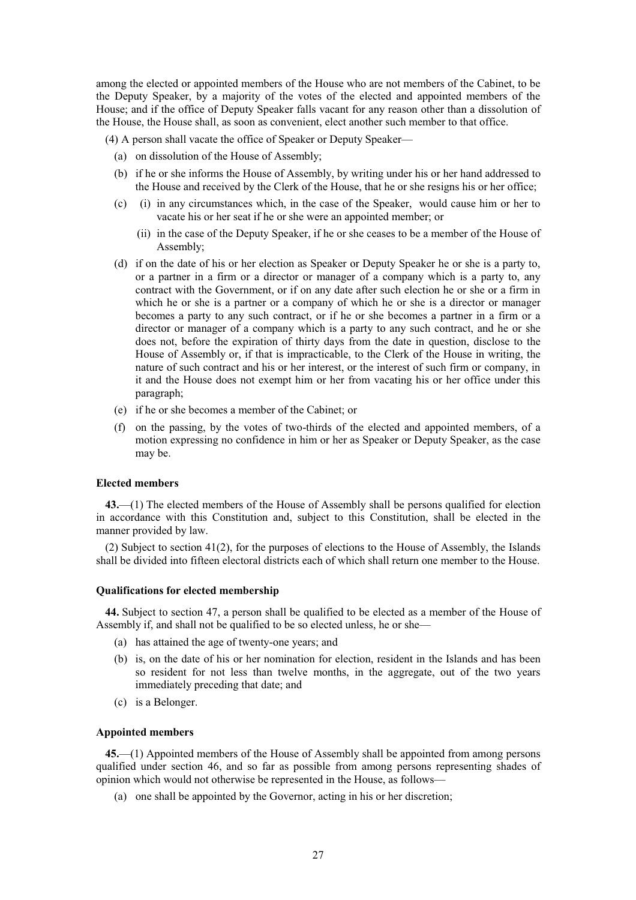among the elected or appointed members of the House who are not members of the Cabinet, to be the Deputy Speaker, by a majority of the votes of the elected and appointed members of the House; and if the office of Deputy Speaker falls vacant for any reason other than a dissolution of the House, the House shall, as soon as convenient, elect another such member to that office.

(4) A person shall vacate the office of Speaker or Deputy Speaker—

- (a) on dissolution of the House of Assembly;
- (b) if he or she informs the House of Assembly, by writing under his or her hand addressed to the House and received by the Clerk of the House, that he or she resigns his or her office;
- (c) (i) in any circumstances which, in the case of the Speaker, would cause him or her to vacate his or her seat if he or she were an appointed member; or
	- (ii) in the case of the Deputy Speaker, if he or she ceases to be a member of the House of Assembly;
- (d) if on the date of his or her election as Speaker or Deputy Speaker he or she is a party to, or a partner in a firm or a director or manager of a company which is a party to, any contract with the Government, or if on any date after such election he or she or a firm in which he or she is a partner or a company of which he or she is a director or manager becomes a party to any such contract, or if he or she becomes a partner in a firm or a director or manager of a company which is a party to any such contract, and he or she does not, before the expiration of thirty days from the date in question, disclose to the House of Assembly or, if that is impracticable, to the Clerk of the House in writing, the nature of such contract and his or her interest, or the interest of such firm or company, in it and the House does not exempt him or her from vacating his or her office under this paragraph;
- (e) if he or she becomes a member of the Cabinet; or
- (f) on the passing, by the votes of two-thirds of the elected and appointed members, of a motion expressing no confidence in him or her as Speaker or Deputy Speaker, as the case may be.

#### **Elected members**

**43.**—(1) The elected members of the House of Assembly shall be persons qualified for election in accordance with this Constitution and, subject to this Constitution, shall be elected in the manner provided by law.

(2) Subject to section 41(2), for the purposes of elections to the House of Assembly, the Islands shall be divided into fifteen electoral districts each of which shall return one member to the House.

#### **Qualifications for elected membership**

**44.** Subject to section 47, a person shall be qualified to be elected as a member of the House of Assembly if, and shall not be qualified to be so elected unless, he or she—

- (a) has attained the age of twenty-one years; and
- (b) is, on the date of his or her nomination for election, resident in the Islands and has been so resident for not less than twelve months, in the aggregate, out of the two years immediately preceding that date; and
- (c) is a Belonger.

## **Appointed members**

**45.**—(1) Appointed members of the House of Assembly shall be appointed from among persons qualified under section 46, and so far as possible from among persons representing shades of opinion which would not otherwise be represented in the House, as follows—

(a) one shall be appointed by the Governor, acting in his or her discretion;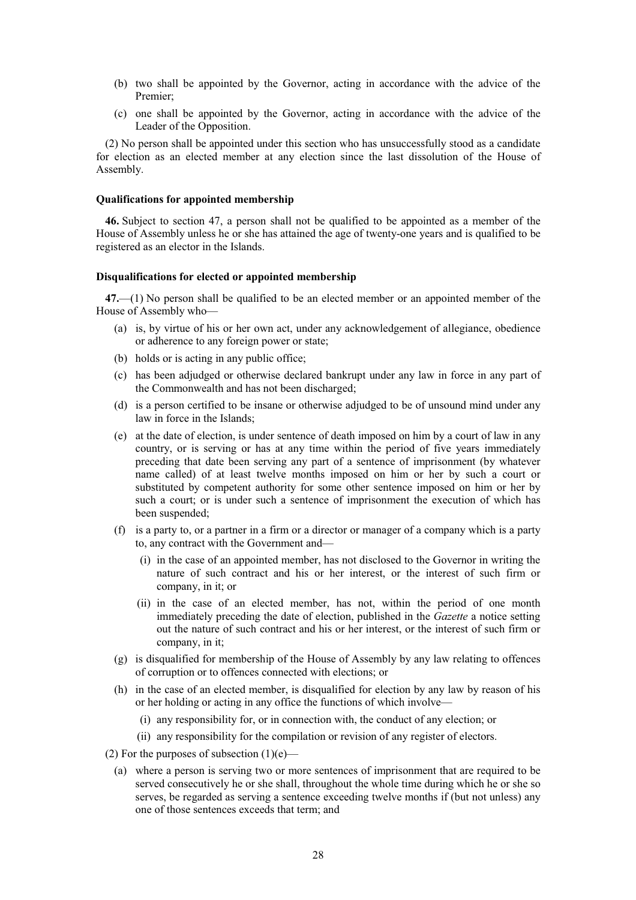- (b) two shall be appointed by the Governor, acting in accordance with the advice of the Premier;
- (c) one shall be appointed by the Governor, acting in accordance with the advice of the Leader of the Opposition.

(2) No person shall be appointed under this section who has unsuccessfully stood as a candidate for election as an elected member at any election since the last dissolution of the House of Assembly.

#### **Qualifications for appointed membership**

**46.** Subject to section 47, a person shall not be qualified to be appointed as a member of the House of Assembly unless he or she has attained the age of twenty-one years and is qualified to be registered as an elector in the Islands.

## **Disqualifications for elected or appointed membership**

**47.**—(1) No person shall be qualified to be an elected member or an appointed member of the House of Assembly who—

- (a) is, by virtue of his or her own act, under any acknowledgement of allegiance, obedience or adherence to any foreign power or state;
- (b) holds or is acting in any public office;
- (c) has been adjudged or otherwise declared bankrupt under any law in force in any part of the Commonwealth and has not been discharged;
- (d) is a person certified to be insane or otherwise adjudged to be of unsound mind under any law in force in the Islands;
- (e) at the date of election, is under sentence of death imposed on him by a court of law in any country, or is serving or has at any time within the period of five years immediately preceding that date been serving any part of a sentence of imprisonment (by whatever name called) of at least twelve months imposed on him or her by such a court or substituted by competent authority for some other sentence imposed on him or her by such a court; or is under such a sentence of imprisonment the execution of which has been suspended;
- (f) is a party to, or a partner in a firm or a director or manager of a company which is a party to, any contract with the Government and—
	- (i) in the case of an appointed member, has not disclosed to the Governor in writing the nature of such contract and his or her interest, or the interest of such firm or company, in it; or
	- (ii) in the case of an elected member, has not, within the period of one month immediately preceding the date of election, published in the *Gazette* a notice setting out the nature of such contract and his or her interest, or the interest of such firm or company, in it;
- (g) is disqualified for membership of the House of Assembly by any law relating to offences of corruption or to offences connected with elections; or
- (h) in the case of an elected member, is disqualified for election by any law by reason of his or her holding or acting in any office the functions of which involve—
	- (i) any responsibility for, or in connection with, the conduct of any election; or
	- (ii) any responsibility for the compilation or revision of any register of electors.
- (2) For the purposes of subsection  $(1)(e)$ 
	- (a) where a person is serving two or more sentences of imprisonment that are required to be served consecutively he or she shall, throughout the whole time during which he or she so serves, be regarded as serving a sentence exceeding twelve months if (but not unless) any one of those sentences exceeds that term; and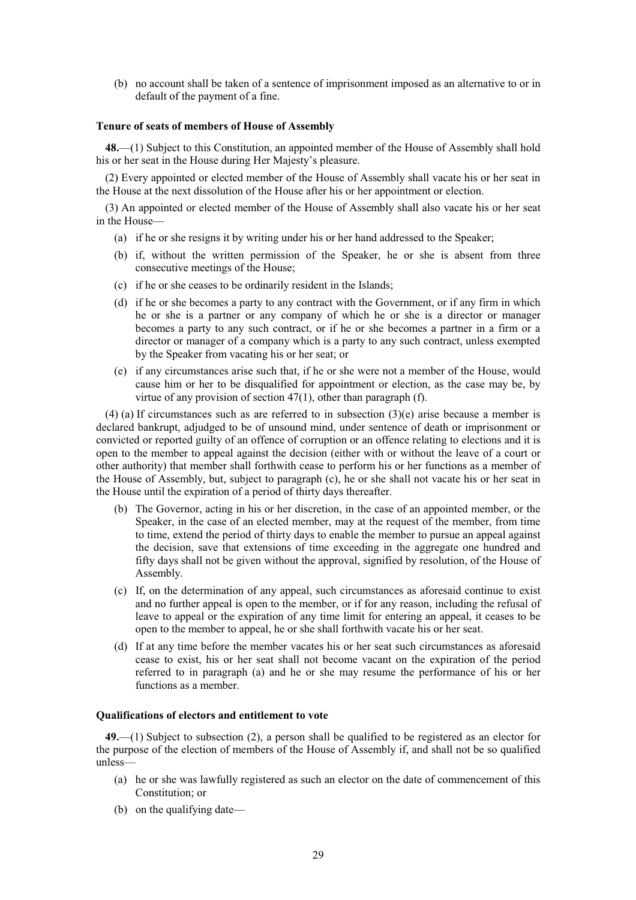(b) no account shall be taken of a sentence of imprisonment imposed as an alternative to or in default of the payment of a fine.

### **Tenure of seats of members of House of Assembly**

**48.**—(1) Subject to this Constitution, an appointed member of the House of Assembly shall hold his or her seat in the House during Her Majesty's pleasure.

(2) Every appointed or elected member of the House of Assembly shall vacate his or her seat in the House at the next dissolution of the House after his or her appointment or election.

(3) An appointed or elected member of the House of Assembly shall also vacate his or her seat in the House—

- (a) if he or she resigns it by writing under his or her hand addressed to the Speaker;
- (b) if, without the written permission of the Speaker, he or she is absent from three consecutive meetings of the House;
- (c) if he or she ceases to be ordinarily resident in the Islands;
- (d) if he or she becomes a party to any contract with the Government, or if any firm in which he or she is a partner or any company of which he or she is a director or manager becomes a party to any such contract, or if he or she becomes a partner in a firm or a director or manager of a company which is a party to any such contract, unless exempted by the Speaker from vacating his or her seat; or
- (e) if any circumstances arise such that, if he or she were not a member of the House, would cause him or her to be disqualified for appointment or election, as the case may be, by virtue of any provision of section 47(1), other than paragraph (f).

(4) (a) If circumstances such as are referred to in subsection  $(3)(e)$  arise because a member is declared bankrupt, adjudged to be of unsound mind, under sentence of death or imprisonment or convicted or reported guilty of an offence of corruption or an offence relating to elections and it is open to the member to appeal against the decision (either with or without the leave of a court or other authority) that member shall forthwith cease to perform his or her functions as a member of the House of Assembly, but, subject to paragraph (c), he or she shall not vacate his or her seat in the House until the expiration of a period of thirty days thereafter.

- (b) The Governor, acting in his or her discretion, in the case of an appointed member, or the Speaker, in the case of an elected member, may at the request of the member, from time to time, extend the period of thirty days to enable the member to pursue an appeal against the decision, save that extensions of time exceeding in the aggregate one hundred and fifty days shall not be given without the approval, signified by resolution, of the House of Assembly.
- (c) If, on the determination of any appeal, such circumstances as aforesaid continue to exist and no further appeal is open to the member, or if for any reason, including the refusal of leave to appeal or the expiration of any time limit for entering an appeal, it ceases to be open to the member to appeal, he or she shall forthwith vacate his or her seat.
- (d) If at any time before the member vacates his or her seat such circumstances as aforesaid cease to exist, his or her seat shall not become vacant on the expiration of the period referred to in paragraph (a) and he or she may resume the performance of his or her functions as a member.

#### **Qualifications of electors and entitlement to vote**

**49.**—(1) Subject to subsection (2), a person shall be qualified to be registered as an elector for the purpose of the election of members of the House of Assembly if, and shall not be so qualified unless—

- (a) he or she was lawfully registered as such an elector on the date of commencement of this Constitution; or
- (b) on the qualifying date—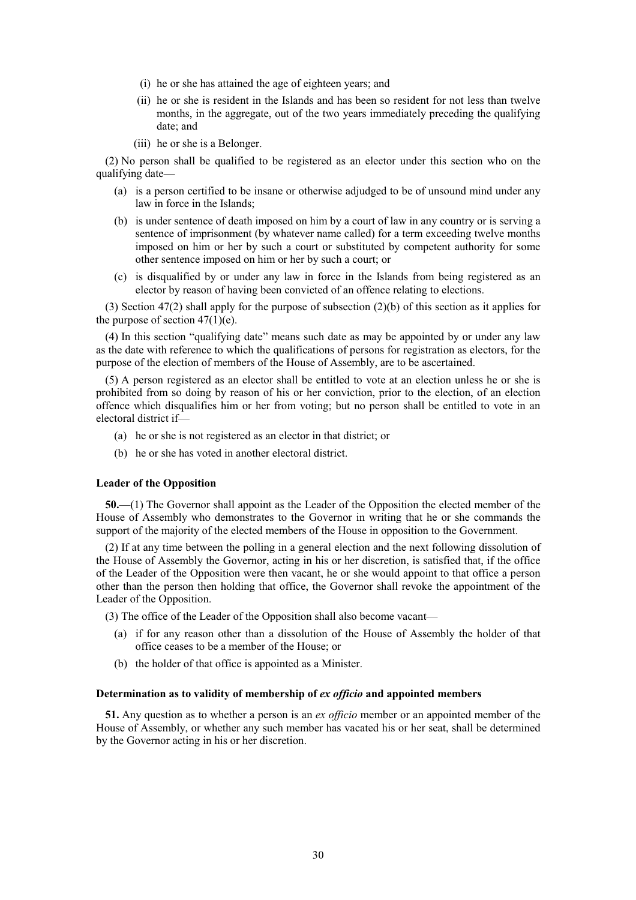- (i) he or she has attained the age of eighteen years; and
- (ii) he or she is resident in the Islands and has been so resident for not less than twelve months, in the aggregate, out of the two years immediately preceding the qualifying date; and
- (iii) he or she is a Belonger.

(2) No person shall be qualified to be registered as an elector under this section who on the qualifying date—

- (a) is a person certified to be insane or otherwise adjudged to be of unsound mind under any law in force in the Islands;
- (b) is under sentence of death imposed on him by a court of law in any country or is serving a sentence of imprisonment (by whatever name called) for a term exceeding twelve months imposed on him or her by such a court or substituted by competent authority for some other sentence imposed on him or her by such a court; or
- (c) is disqualified by or under any law in force in the Islands from being registered as an elector by reason of having been convicted of an offence relating to elections.

(3) Section 47(2) shall apply for the purpose of subsection (2)(b) of this section as it applies for the purpose of section  $47(1)(e)$ .

(4) In this section "qualifying date" means such date as may be appointed by or under any law as the date with reference to which the qualifications of persons for registration as electors, for the purpose of the election of members of the House of Assembly, are to be ascertained.

(5) A person registered as an elector shall be entitled to vote at an election unless he or she is prohibited from so doing by reason of his or her conviction, prior to the election, of an election offence which disqualifies him or her from voting; but no person shall be entitled to vote in an electoral district if—

- (a) he or she is not registered as an elector in that district; or
- (b) he or she has voted in another electoral district.

#### **Leader of the Opposition**

**50.**—(1) The Governor shall appoint as the Leader of the Opposition the elected member of the House of Assembly who demonstrates to the Governor in writing that he or she commands the support of the majority of the elected members of the House in opposition to the Government.

(2) If at any time between the polling in a general election and the next following dissolution of the House of Assembly the Governor, acting in his or her discretion, is satisfied that, if the office of the Leader of the Opposition were then vacant, he or she would appoint to that office a person other than the person then holding that office, the Governor shall revoke the appointment of the Leader of the Opposition.

(3) The office of the Leader of the Opposition shall also become vacant—

- (a) if for any reason other than a dissolution of the House of Assembly the holder of that office ceases to be a member of the House; or
- (b) the holder of that office is appointed as a Minister.

## **Determination as to validity of membership of** *ex officio* **and appointed members**

**51.** Any question as to whether a person is an *ex officio* member or an appointed member of the House of Assembly, or whether any such member has vacated his or her seat, shall be determined by the Governor acting in his or her discretion.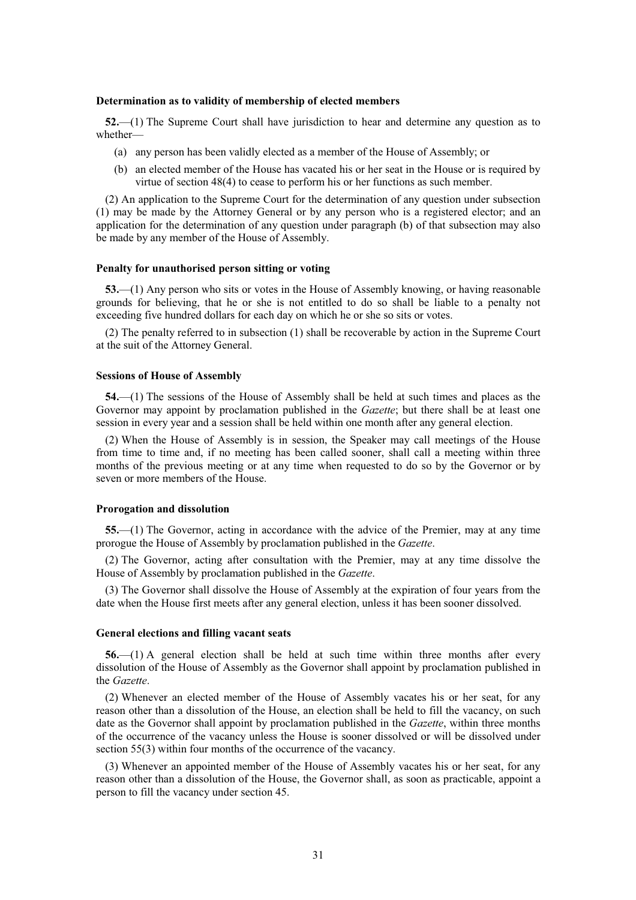#### **Determination as to validity of membership of elected members**

**52.**—(1) The Supreme Court shall have jurisdiction to hear and determine any question as to whether—

- (a) any person has been validly elected as a member of the House of Assembly; or
- (b) an elected member of the House has vacated his or her seat in the House or is required by virtue of section 48(4) to cease to perform his or her functions as such member.

(2) An application to the Supreme Court for the determination of any question under subsection (1) may be made by the Attorney General or by any person who is a registered elector; and an application for the determination of any question under paragraph (b) of that subsection may also be made by any member of the House of Assembly.

#### **Penalty for unauthorised person sitting or voting**

**53.**—(1) Any person who sits or votes in the House of Assembly knowing, or having reasonable grounds for believing, that he or she is not entitled to do so shall be liable to a penalty not exceeding five hundred dollars for each day on which he or she so sits or votes.

(2) The penalty referred to in subsection (1) shall be recoverable by action in the Supreme Court at the suit of the Attorney General.

#### **Sessions of House of Assembly**

**54.**—(1) The sessions of the House of Assembly shall be held at such times and places as the Governor may appoint by proclamation published in the *Gazette*; but there shall be at least one session in every year and a session shall be held within one month after any general election.

(2) When the House of Assembly is in session, the Speaker may call meetings of the House from time to time and, if no meeting has been called sooner, shall call a meeting within three months of the previous meeting or at any time when requested to do so by the Governor or by seven or more members of the House.

#### **Prorogation and dissolution**

**55.**—(1) The Governor, acting in accordance with the advice of the Premier, may at any time prorogue the House of Assembly by proclamation published in the *Gazette*.

(2) The Governor, acting after consultation with the Premier, may at any time dissolve the House of Assembly by proclamation published in the *Gazette*.

(3) The Governor shall dissolve the House of Assembly at the expiration of four years from the date when the House first meets after any general election, unless it has been sooner dissolved.

## **General elections and filling vacant seats**

**56.**—(1) A general election shall be held at such time within three months after every dissolution of the House of Assembly as the Governor shall appoint by proclamation published in the *Gazette*.

(2) Whenever an elected member of the House of Assembly vacates his or her seat, for any reason other than a dissolution of the House, an election shall be held to fill the vacancy, on such date as the Governor shall appoint by proclamation published in the *Gazette*, within three months of the occurrence of the vacancy unless the House is sooner dissolved or will be dissolved under section 55(3) within four months of the occurrence of the vacancy.

(3) Whenever an appointed member of the House of Assembly vacates his or her seat, for any reason other than a dissolution of the House, the Governor shall, as soon as practicable, appoint a person to fill the vacancy under section 45.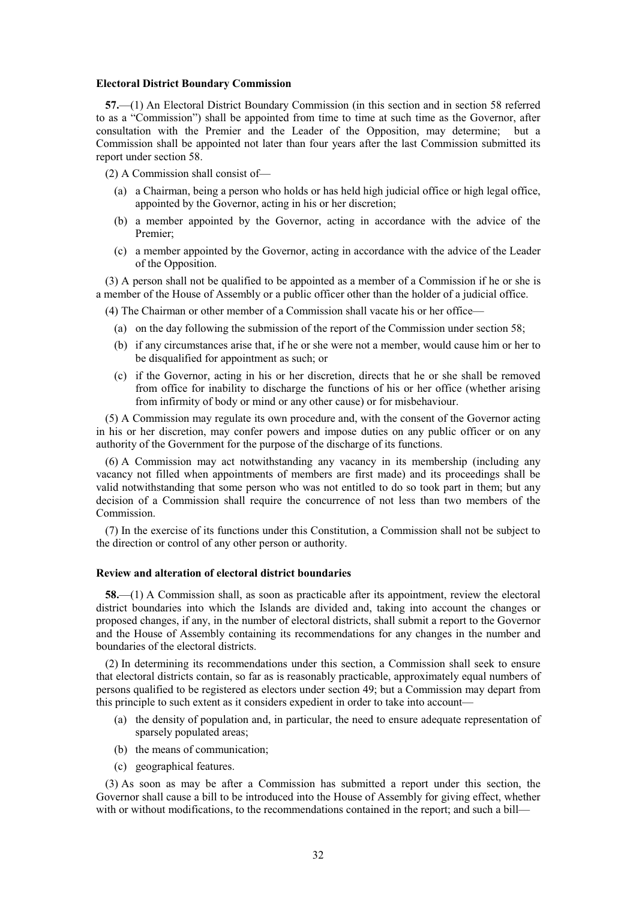#### **Electoral District Boundary Commission**

**57.**—(1) An Electoral District Boundary Commission (in this section and in section 58 referred to as a "Commission") shall be appointed from time to time at such time as the Governor, after consultation with the Premier and the Leader of the Opposition, may determine; but a Commission shall be appointed not later than four years after the last Commission submitted its report under section 58.

(2) A Commission shall consist of—

- (a) a Chairman, being a person who holds or has held high judicial office or high legal office, appointed by the Governor, acting in his or her discretion;
- (b) a member appointed by the Governor, acting in accordance with the advice of the Premier;
- (c) a member appointed by the Governor, acting in accordance with the advice of the Leader of the Opposition.

(3) A person shall not be qualified to be appointed as a member of a Commission if he or she is a member of the House of Assembly or a public officer other than the holder of a judicial office.

(4) The Chairman or other member of a Commission shall vacate his or her office—

- (a) on the day following the submission of the report of the Commission under section 58;
- (b) if any circumstances arise that, if he or she were not a member, would cause him or her to be disqualified for appointment as such; or
- (c) if the Governor, acting in his or her discretion, directs that he or she shall be removed from office for inability to discharge the functions of his or her office (whether arising from infirmity of body or mind or any other cause) or for misbehaviour.

(5) A Commission may regulate its own procedure and, with the consent of the Governor acting in his or her discretion, may confer powers and impose duties on any public officer or on any authority of the Government for the purpose of the discharge of its functions.

(6) A Commission may act notwithstanding any vacancy in its membership (including any vacancy not filled when appointments of members are first made) and its proceedings shall be valid notwithstanding that some person who was not entitled to do so took part in them; but any decision of a Commission shall require the concurrence of not less than two members of the Commission.

(7) In the exercise of its functions under this Constitution, a Commission shall not be subject to the direction or control of any other person or authority.

#### **Review and alteration of electoral district boundaries**

**58.**—(1) A Commission shall, as soon as practicable after its appointment, review the electoral district boundaries into which the Islands are divided and, taking into account the changes or proposed changes, if any, in the number of electoral districts, shall submit a report to the Governor and the House of Assembly containing its recommendations for any changes in the number and boundaries of the electoral districts.

(2) In determining its recommendations under this section, a Commission shall seek to ensure that electoral districts contain, so far as is reasonably practicable, approximately equal numbers of persons qualified to be registered as electors under section 49; but a Commission may depart from this principle to such extent as it considers expedient in order to take into account—

- (a) the density of population and, in particular, the need to ensure adequate representation of sparsely populated areas;
- (b) the means of communication;
- (c) geographical features.

(3) As soon as may be after a Commission has submitted a report under this section, the Governor shall cause a bill to be introduced into the House of Assembly for giving effect, whether with or without modifications, to the recommendations contained in the report; and such a bill—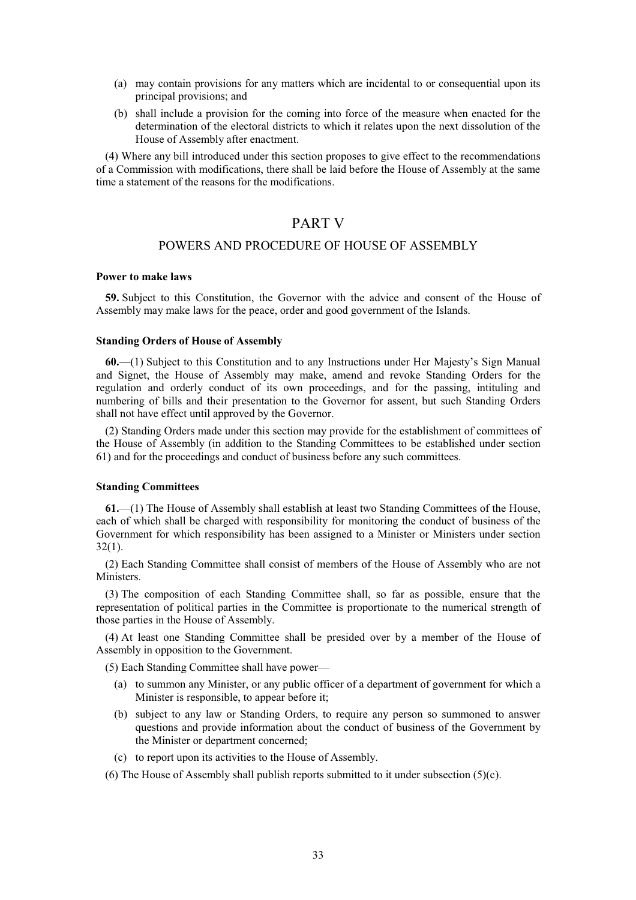- (a) may contain provisions for any matters which are incidental to or consequential upon its principal provisions; and
- (b) shall include a provision for the coming into force of the measure when enacted for the determination of the electoral districts to which it relates upon the next dissolution of the House of Assembly after enactment.

(4) Where any bill introduced under this section proposes to give effect to the recommendations of a Commission with modifications, there shall be laid before the House of Assembly at the same time a statement of the reasons for the modifications.

# PART V

# POWERS AND PROCEDURE OF HOUSE OF ASSEMBLY

## **Power to make laws**

**59.** Subject to this Constitution, the Governor with the advice and consent of the House of Assembly may make laws for the peace, order and good government of the Islands.

#### **Standing Orders of House of Assembly**

**60.**—(1) Subject to this Constitution and to any Instructions under Her Majesty's Sign Manual and Signet, the House of Assembly may make, amend and revoke Standing Orders for the regulation and orderly conduct of its own proceedings, and for the passing, intituling and numbering of bills and their presentation to the Governor for assent, but such Standing Orders shall not have effect until approved by the Governor.

(2) Standing Orders made under this section may provide for the establishment of committees of the House of Assembly (in addition to the Standing Committees to be established under section 61) and for the proceedings and conduct of business before any such committees.

#### **Standing Committees**

**61.**—(1) The House of Assembly shall establish at least two Standing Committees of the House, each of which shall be charged with responsibility for monitoring the conduct of business of the Government for which responsibility has been assigned to a Minister or Ministers under section  $32(1)$ .

(2) Each Standing Committee shall consist of members of the House of Assembly who are not Ministers.

(3) The composition of each Standing Committee shall, so far as possible, ensure that the representation of political parties in the Committee is proportionate to the numerical strength of those parties in the House of Assembly.

(4) At least one Standing Committee shall be presided over by a member of the House of Assembly in opposition to the Government.

(5) Each Standing Committee shall have power—

- (a) to summon any Minister, or any public officer of a department of government for which a Minister is responsible, to appear before it;
- (b) subject to any law or Standing Orders, to require any person so summoned to answer questions and provide information about the conduct of business of the Government by the Minister or department concerned;
- (c) to report upon its activities to the House of Assembly.

(6) The House of Assembly shall publish reports submitted to it under subsection (5)(c).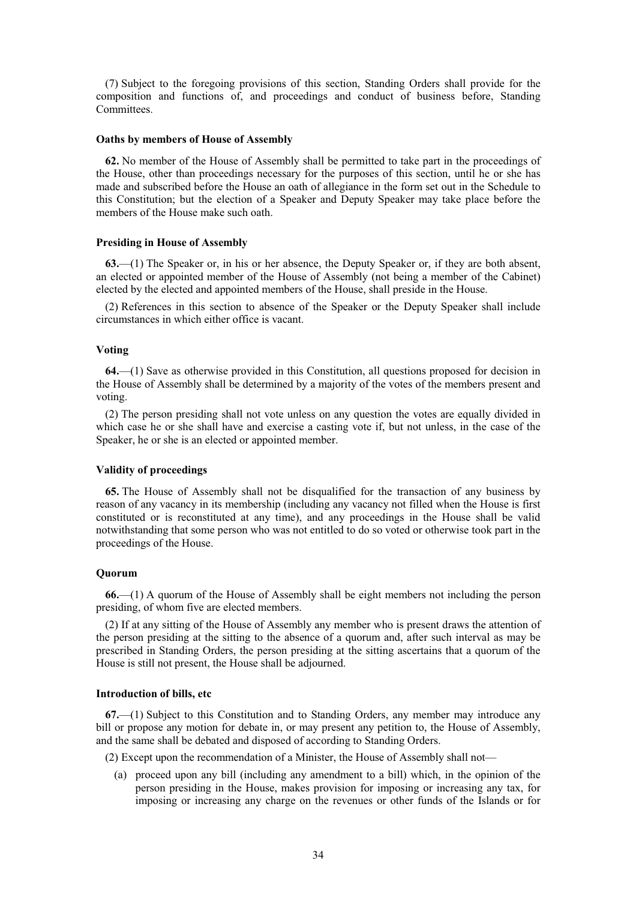(7) Subject to the foregoing provisions of this section, Standing Orders shall provide for the composition and functions of, and proceedings and conduct of business before, Standing Committees.

#### **Oaths by members of House of Assembly**

**62.** No member of the House of Assembly shall be permitted to take part in the proceedings of the House, other than proceedings necessary for the purposes of this section, until he or she has made and subscribed before the House an oath of allegiance in the form set out in the Schedule to this Constitution; but the election of a Speaker and Deputy Speaker may take place before the members of the House make such oath.

#### **Presiding in House of Assembly**

**63.**—(1) The Speaker or, in his or her absence, the Deputy Speaker or, if they are both absent, an elected or appointed member of the House of Assembly (not being a member of the Cabinet) elected by the elected and appointed members of the House, shall preside in the House.

(2) References in this section to absence of the Speaker or the Deputy Speaker shall include circumstances in which either office is vacant.

### **Voting**

**64.**—(1) Save as otherwise provided in this Constitution, all questions proposed for decision in the House of Assembly shall be determined by a majority of the votes of the members present and voting.

(2) The person presiding shall not vote unless on any question the votes are equally divided in which case he or she shall have and exercise a casting vote if, but not unless, in the case of the Speaker, he or she is an elected or appointed member.

#### **Validity of proceedings**

**65.** The House of Assembly shall not be disqualified for the transaction of any business by reason of any vacancy in its membership (including any vacancy not filled when the House is first constituted or is reconstituted at any time), and any proceedings in the House shall be valid notwithstanding that some person who was not entitled to do so voted or otherwise took part in the proceedings of the House.

#### **Quorum**

**66.**—(1) A quorum of the House of Assembly shall be eight members not including the person presiding, of whom five are elected members.

(2) If at any sitting of the House of Assembly any member who is present draws the attention of the person presiding at the sitting to the absence of a quorum and, after such interval as may be prescribed in Standing Orders, the person presiding at the sitting ascertains that a quorum of the House is still not present, the House shall be adjourned.

#### **Introduction of bills, etc**

**67.**—(1) Subject to this Constitution and to Standing Orders, any member may introduce any bill or propose any motion for debate in, or may present any petition to, the House of Assembly, and the same shall be debated and disposed of according to Standing Orders.

(2) Except upon the recommendation of a Minister, the House of Assembly shall not—

(a) proceed upon any bill (including any amendment to a bill) which, in the opinion of the person presiding in the House, makes provision for imposing or increasing any tax, for imposing or increasing any charge on the revenues or other funds of the Islands or for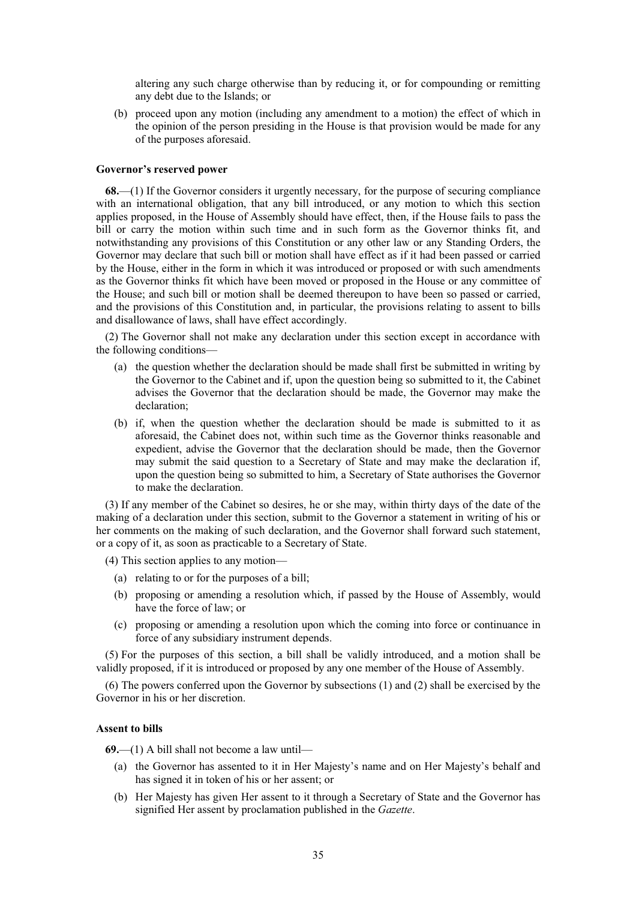altering any such charge otherwise than by reducing it, or for compounding or remitting any debt due to the Islands; or

(b) proceed upon any motion (including any amendment to a motion) the effect of which in the opinion of the person presiding in the House is that provision would be made for any of the purposes aforesaid.

#### **Governor's reserved power**

**68.**—(1) If the Governor considers it urgently necessary, for the purpose of securing compliance with an international obligation, that any bill introduced, or any motion to which this section applies proposed, in the House of Assembly should have effect, then, if the House fails to pass the bill or carry the motion within such time and in such form as the Governor thinks fit, and notwithstanding any provisions of this Constitution or any other law or any Standing Orders, the Governor may declare that such bill or motion shall have effect as if it had been passed or carried by the House, either in the form in which it was introduced or proposed or with such amendments as the Governor thinks fit which have been moved or proposed in the House or any committee of the House; and such bill or motion shall be deemed thereupon to have been so passed or carried, and the provisions of this Constitution and, in particular, the provisions relating to assent to bills and disallowance of laws, shall have effect accordingly.

(2) The Governor shall not make any declaration under this section except in accordance with the following conditions—

- (a) the question whether the declaration should be made shall first be submitted in writing by the Governor to the Cabinet and if, upon the question being so submitted to it, the Cabinet advises the Governor that the declaration should be made, the Governor may make the declaration;
- (b) if, when the question whether the declaration should be made is submitted to it as aforesaid, the Cabinet does not, within such time as the Governor thinks reasonable and expedient, advise the Governor that the declaration should be made, then the Governor may submit the said question to a Secretary of State and may make the declaration if, upon the question being so submitted to him, a Secretary of State authorises the Governor to make the declaration.

(3) If any member of the Cabinet so desires, he or she may, within thirty days of the date of the making of a declaration under this section, submit to the Governor a statement in writing of his or her comments on the making of such declaration, and the Governor shall forward such statement, or a copy of it, as soon as practicable to a Secretary of State.

(4) This section applies to any motion—

- (a) relating to or for the purposes of a bill;
- (b) proposing or amending a resolution which, if passed by the House of Assembly, would have the force of law; or
- (c) proposing or amending a resolution upon which the coming into force or continuance in force of any subsidiary instrument depends.

(5) For the purposes of this section, a bill shall be validly introduced, and a motion shall be validly proposed, if it is introduced or proposed by any one member of the House of Assembly.

(6) The powers conferred upon the Governor by subsections (1) and (2) shall be exercised by the Governor in his or her discretion.

#### **Assent to bills**

**69.**—(1) A bill shall not become a law until—

- (a) the Governor has assented to it in Her Majesty's name and on Her Majesty's behalf and has signed it in token of his or her assent; or
- (b) Her Majesty has given Her assent to it through a Secretary of State and the Governor has signified Her assent by proclamation published in the *Gazette*.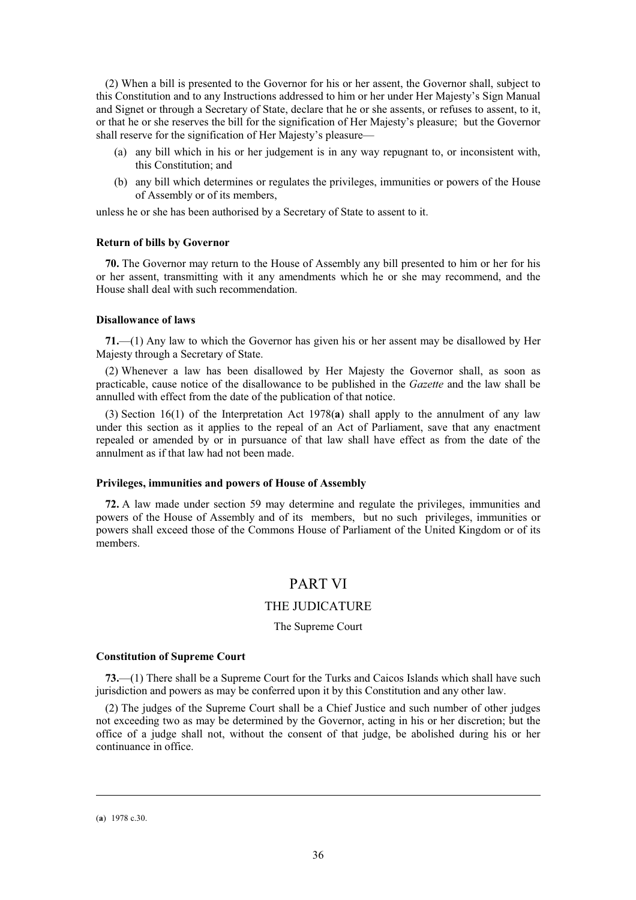(2) When a bill is presented to the Governor for his or her assent, the Governor shall, subject to this Constitution and to any Instructions addressed to him or her under Her Majesty's Sign Manual and Signet or through a Secretary of State, declare that he or she assents, or refuses to assent, to it, or that he or she reserves the bill for the signification of Her Majesty's pleasure; but the Governor shall reserve for the signification of Her Majesty's pleasure—

- (a) any bill which in his or her judgement is in any way repugnant to, or inconsistent with, this Constitution; and
- (b) any bill which determines or regulates the privileges, immunities or powers of the House of Assembly or of its members,

unless he or she has been authorised by a Secretary of State to assent to it.

#### **Return of bills by Governor**

**70.** The Governor may return to the House of Assembly any bill presented to him or her for his or her assent, transmitting with it any amendments which he or she may recommend, and the House shall deal with such recommendation.

#### **Disallowance of laws**

**71.**—(1) Any law to which the Governor has given his or her assent may be disallowed by Her Majesty through a Secretary of State.

(2) Whenever a law has been disallowed by Her Majesty the Governor shall, as soon as practicable, cause notice of the disallowance to be published in the *Gazette* and the law shall be annulled with effect from the date of the publication of that notice.

(3) Section 16(1) of the Interpretation Act 1978(**a**) shall apply to the annulment of any law under this section as it applies to the repeal of an Act of Parliament, save that any enactment repealed or amended by or in pursuance of that law shall have effect as from the date of the annulment as if that law had not been made.

#### **Privileges, immunities and powers of House of Assembly**

**72.** A law made under section 59 may determine and regulate the privileges, immunities and powers of the House of Assembly and of its members, but no such privileges, immunities or powers shall exceed those of the Commons House of Parliament of the United Kingdom or of its members.

# PART VI

## THE JUDICATURE

### The Supreme Court

#### **Constitution of Supreme Court**

**73.**—(1) There shall be a Supreme Court for the Turks and Caicos Islands which shall have such jurisdiction and powers as may be conferred upon it by this Constitution and any other law.

(2) The judges of the Supreme Court shall be a Chief Justice and such number of other judges not exceeding two as may be determined by the Governor, acting in his or her discretion; but the office of a judge shall not, without the consent of that judge, be abolished during his or her continuance in office.

<sup>(</sup>**a**) 1978 c.30.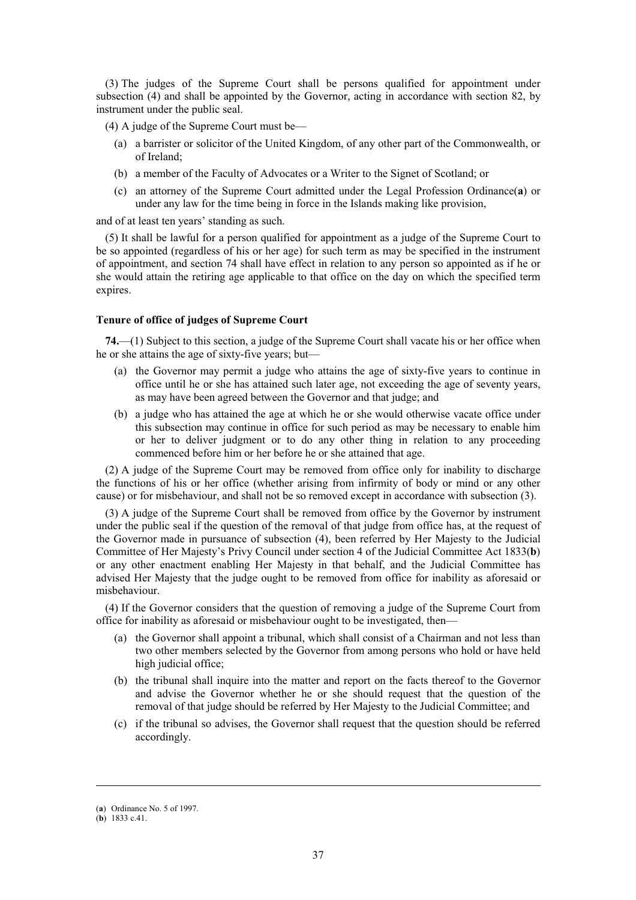(3) The judges of the Supreme Court shall be persons qualified for appointment under subsection (4) and shall be appointed by the Governor, acting in accordance with section 82, by instrument under the public seal.

(4) A judge of the Supreme Court must be—

- (a) a barrister or solicitor of the United Kingdom, of any other part of the Commonwealth, or of Ireland;
- (b) a member of the Faculty of Advocates or a Writer to the Signet of Scotland; or
- (c) an attorney of the Supreme Court admitted under the Legal Profession Ordinance(**a**) or under any law for the time being in force in the Islands making like provision,

and of at least ten years' standing as such.

(5) It shall be lawful for a person qualified for appointment as a judge of the Supreme Court to be so appointed (regardless of his or her age) for such term as may be specified in the instrument of appointment, and section 74 shall have effect in relation to any person so appointed as if he or she would attain the retiring age applicable to that office on the day on which the specified term expires.

### **Tenure of office of judges of Supreme Court**

**74.**—(1) Subject to this section, a judge of the Supreme Court shall vacate his or her office when he or she attains the age of sixty-five years; but—

- (a) the Governor may permit a judge who attains the age of sixty-five years to continue in office until he or she has attained such later age, not exceeding the age of seventy years, as may have been agreed between the Governor and that judge; and
- (b) a judge who has attained the age at which he or she would otherwise vacate office under this subsection may continue in office for such period as may be necessary to enable him or her to deliver judgment or to do any other thing in relation to any proceeding commenced before him or her before he or she attained that age.

(2) A judge of the Supreme Court may be removed from office only for inability to discharge the functions of his or her office (whether arising from infirmity of body or mind or any other cause) or for misbehaviour, and shall not be so removed except in accordance with subsection (3).

(3) A judge of the Supreme Court shall be removed from office by the Governor by instrument under the public seal if the question of the removal of that judge from office has, at the request of the Governor made in pursuance of subsection (4), been referred by Her Majesty to the Judicial Committee of Her Majesty's Privy Council under section 4 of the Judicial Committee Act 1833(**b**) or any other enactment enabling Her Majesty in that behalf, and the Judicial Committee has advised Her Majesty that the judge ought to be removed from office for inability as aforesaid or misbehaviour.

(4) If the Governor considers that the question of removing a judge of the Supreme Court from office for inability as aforesaid or misbehaviour ought to be investigated, then—

- (a) the Governor shall appoint a tribunal, which shall consist of a Chairman and not less than two other members selected by the Governor from among persons who hold or have held high judicial office;
- (b) the tribunal shall inquire into the matter and report on the facts thereof to the Governor and advise the Governor whether he or she should request that the question of the removal of that judge should be referred by Her Majesty to the Judicial Committee; and
- (c) if the tribunal so advises, the Governor shall request that the question should be referred accordingly.

<sup>(</sup>**a**) Ordinance No. 5 of 1997.

<sup>(</sup>**b**) 1833 c.41.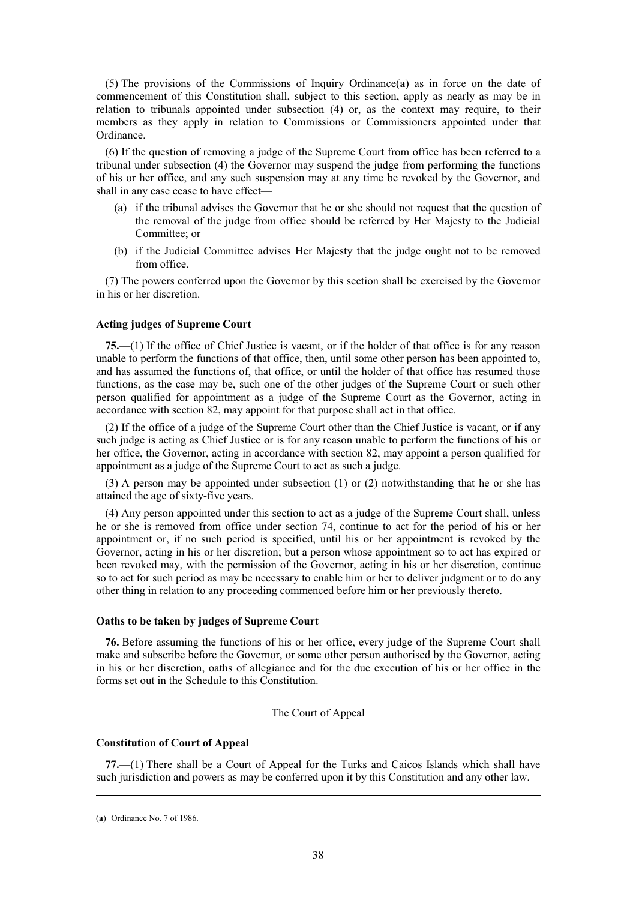(5) The provisions of the Commissions of Inquiry Ordinance(**a**) as in force on the date of commencement of this Constitution shall, subject to this section, apply as nearly as may be in relation to tribunals appointed under subsection (4) or, as the context may require, to their members as they apply in relation to Commissions or Commissioners appointed under that Ordinance.

(6) If the question of removing a judge of the Supreme Court from office has been referred to a tribunal under subsection (4) the Governor may suspend the judge from performing the functions of his or her office, and any such suspension may at any time be revoked by the Governor, and shall in any case cease to have effect—

- (a) if the tribunal advises the Governor that he or she should not request that the question of the removal of the judge from office should be referred by Her Majesty to the Judicial Committee; or
- (b) if the Judicial Committee advises Her Majesty that the judge ought not to be removed from office.

(7) The powers conferred upon the Governor by this section shall be exercised by the Governor in his or her discretion.

#### **Acting judges of Supreme Court**

**75.**—(1) If the office of Chief Justice is vacant, or if the holder of that office is for any reason unable to perform the functions of that office, then, until some other person has been appointed to, and has assumed the functions of, that office, or until the holder of that office has resumed those functions, as the case may be, such one of the other judges of the Supreme Court or such other person qualified for appointment as a judge of the Supreme Court as the Governor, acting in accordance with section 82, may appoint for that purpose shall act in that office.

(2) If the office of a judge of the Supreme Court other than the Chief Justice is vacant, or if any such judge is acting as Chief Justice or is for any reason unable to perform the functions of his or her office, the Governor, acting in accordance with section 82, may appoint a person qualified for appointment as a judge of the Supreme Court to act as such a judge.

(3) A person may be appointed under subsection (1) or (2) notwithstanding that he or she has attained the age of sixty-five years.

(4) Any person appointed under this section to act as a judge of the Supreme Court shall, unless he or she is removed from office under section 74, continue to act for the period of his or her appointment or, if no such period is specified, until his or her appointment is revoked by the Governor, acting in his or her discretion; but a person whose appointment so to act has expired or been revoked may, with the permission of the Governor, acting in his or her discretion, continue so to act for such period as may be necessary to enable him or her to deliver judgment or to do any other thing in relation to any proceeding commenced before him or her previously thereto.

### **Oaths to be taken by judges of Supreme Court**

**76.** Before assuming the functions of his or her office, every judge of the Supreme Court shall make and subscribe before the Governor, or some other person authorised by the Governor, acting in his or her discretion, oaths of allegiance and for the due execution of his or her office in the forms set out in the Schedule to this Constitution.

#### The Court of Appeal

### **Constitution of Court of Appeal**

**77.**—(1) There shall be a Court of Appeal for the Turks and Caicos Islands which shall have such jurisdiction and powers as may be conferred upon it by this Constitution and any other law.

<sup>(</sup>**a**) Ordinance No. 7 of 1986.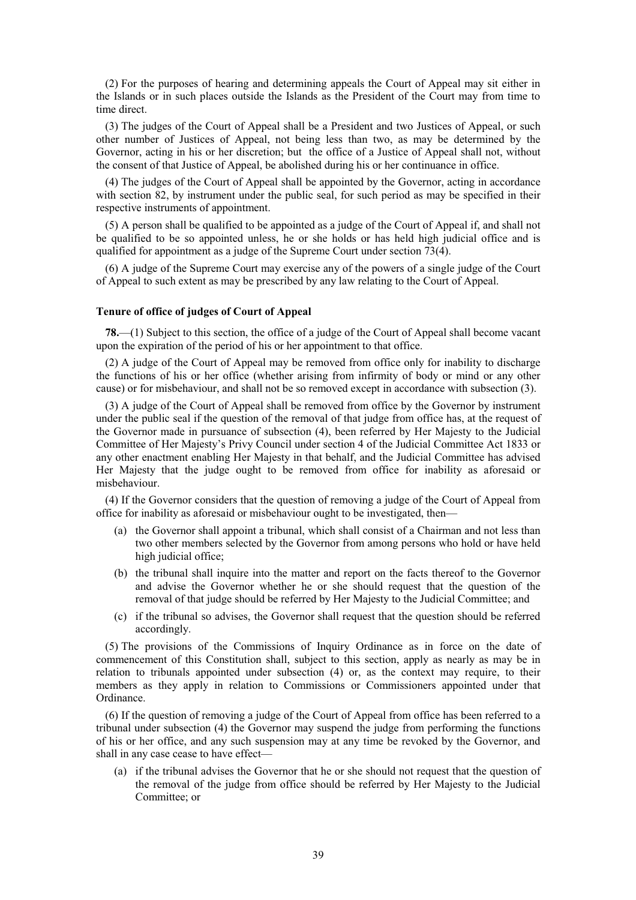(2) For the purposes of hearing and determining appeals the Court of Appeal may sit either in the Islands or in such places outside the Islands as the President of the Court may from time to time direct.

(3) The judges of the Court of Appeal shall be a President and two Justices of Appeal, or such other number of Justices of Appeal, not being less than two, as may be determined by the Governor, acting in his or her discretion; but the office of a Justice of Appeal shall not, without the consent of that Justice of Appeal, be abolished during his or her continuance in office.

(4) The judges of the Court of Appeal shall be appointed by the Governor, acting in accordance with section 82, by instrument under the public seal, for such period as may be specified in their respective instruments of appointment.

(5) A person shall be qualified to be appointed as a judge of the Court of Appeal if, and shall not be qualified to be so appointed unless, he or she holds or has held high judicial office and is qualified for appointment as a judge of the Supreme Court under section 73(4).

(6) A judge of the Supreme Court may exercise any of the powers of a single judge of the Court of Appeal to such extent as may be prescribed by any law relating to the Court of Appeal.

### **Tenure of office of judges of Court of Appeal**

**78.**—(1) Subject to this section, the office of a judge of the Court of Appeal shall become vacant upon the expiration of the period of his or her appointment to that office.

(2) A judge of the Court of Appeal may be removed from office only for inability to discharge the functions of his or her office (whether arising from infirmity of body or mind or any other cause) or for misbehaviour, and shall not be so removed except in accordance with subsection (3).

(3) A judge of the Court of Appeal shall be removed from office by the Governor by instrument under the public seal if the question of the removal of that judge from office has, at the request of the Governor made in pursuance of subsection (4), been referred by Her Majesty to the Judicial Committee of Her Majesty's Privy Council under section 4 of the Judicial Committee Act 1833 or any other enactment enabling Her Majesty in that behalf, and the Judicial Committee has advised Her Majesty that the judge ought to be removed from office for inability as aforesaid or misbehaviour.

(4) If the Governor considers that the question of removing a judge of the Court of Appeal from office for inability as aforesaid or misbehaviour ought to be investigated, then—

- (a) the Governor shall appoint a tribunal, which shall consist of a Chairman and not less than two other members selected by the Governor from among persons who hold or have held high judicial office;
- (b) the tribunal shall inquire into the matter and report on the facts thereof to the Governor and advise the Governor whether he or she should request that the question of the removal of that judge should be referred by Her Majesty to the Judicial Committee; and
- (c) if the tribunal so advises, the Governor shall request that the question should be referred accordingly.

(5) The provisions of the Commissions of Inquiry Ordinance as in force on the date of commencement of this Constitution shall, subject to this section, apply as nearly as may be in relation to tribunals appointed under subsection (4) or, as the context may require, to their members as they apply in relation to Commissions or Commissioners appointed under that Ordinance.

(6) If the question of removing a judge of the Court of Appeal from office has been referred to a tribunal under subsection (4) the Governor may suspend the judge from performing the functions of his or her office, and any such suspension may at any time be revoked by the Governor, and shall in any case cease to have effect—

(a) if the tribunal advises the Governor that he or she should not request that the question of the removal of the judge from office should be referred by Her Majesty to the Judicial Committee; or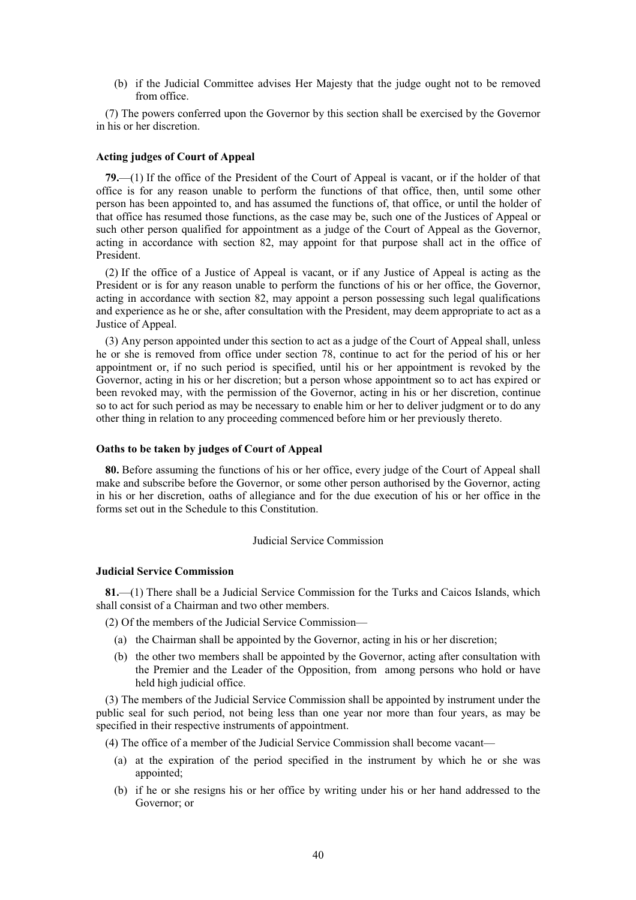(b) if the Judicial Committee advises Her Majesty that the judge ought not to be removed from office.

(7) The powers conferred upon the Governor by this section shall be exercised by the Governor in his or her discretion.

### **Acting judges of Court of Appeal**

**79.**—(1) If the office of the President of the Court of Appeal is vacant, or if the holder of that office is for any reason unable to perform the functions of that office, then, until some other person has been appointed to, and has assumed the functions of, that office, or until the holder of that office has resumed those functions, as the case may be, such one of the Justices of Appeal or such other person qualified for appointment as a judge of the Court of Appeal as the Governor, acting in accordance with section 82, may appoint for that purpose shall act in the office of President.

(2) If the office of a Justice of Appeal is vacant, or if any Justice of Appeal is acting as the President or is for any reason unable to perform the functions of his or her office, the Governor, acting in accordance with section 82, may appoint a person possessing such legal qualifications and experience as he or she, after consultation with the President, may deem appropriate to act as a Justice of Appeal.

(3) Any person appointed under this section to act as a judge of the Court of Appeal shall, unless he or she is removed from office under section 78, continue to act for the period of his or her appointment or, if no such period is specified, until his or her appointment is revoked by the Governor, acting in his or her discretion; but a person whose appointment so to act has expired or been revoked may, with the permission of the Governor, acting in his or her discretion, continue so to act for such period as may be necessary to enable him or her to deliver judgment or to do any other thing in relation to any proceeding commenced before him or her previously thereto.

## **Oaths to be taken by judges of Court of Appeal**

**80.** Before assuming the functions of his or her office, every judge of the Court of Appeal shall make and subscribe before the Governor, or some other person authorised by the Governor, acting in his or her discretion, oaths of allegiance and for the due execution of his or her office in the forms set out in the Schedule to this Constitution.

#### Judicial Service Commission

#### **Judicial Service Commission**

**81.**—(1) There shall be a Judicial Service Commission for the Turks and Caicos Islands, which shall consist of a Chairman and two other members.

(2) Of the members of the Judicial Service Commission—

- (a) the Chairman shall be appointed by the Governor, acting in his or her discretion;
- (b) the other two members shall be appointed by the Governor, acting after consultation with the Premier and the Leader of the Opposition, from among persons who hold or have held high judicial office.

(3) The members of the Judicial Service Commission shall be appointed by instrument under the public seal for such period, not being less than one year nor more than four years, as may be specified in their respective instruments of appointment.

- (4) The office of a member of the Judicial Service Commission shall become vacant—
	- (a) at the expiration of the period specified in the instrument by which he or she was appointed;
	- (b) if he or she resigns his or her office by writing under his or her hand addressed to the Governor; or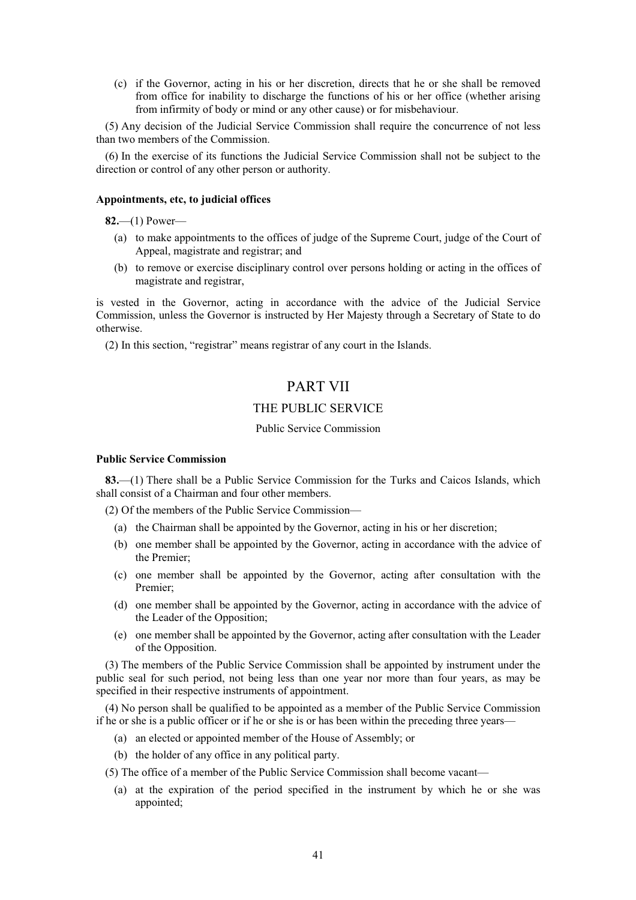(c) if the Governor, acting in his or her discretion, directs that he or she shall be removed from office for inability to discharge the functions of his or her office (whether arising from infirmity of body or mind or any other cause) or for misbehaviour.

(5) Any decision of the Judicial Service Commission shall require the concurrence of not less than two members of the Commission.

(6) In the exercise of its functions the Judicial Service Commission shall not be subject to the direction or control of any other person or authority.

#### **Appointments, etc, to judicial offices**

**82.**—(1) Power—

- (a) to make appointments to the offices of judge of the Supreme Court, judge of the Court of Appeal, magistrate and registrar; and
- (b) to remove or exercise disciplinary control over persons holding or acting in the offices of magistrate and registrar,

is vested in the Governor, acting in accordance with the advice of the Judicial Service Commission, unless the Governor is instructed by Her Majesty through a Secretary of State to do otherwise.

(2) In this section, "registrar" means registrar of any court in the Islands.

# PART VII

# THE PUBLIC SERVICE

Public Service Commission

#### **Public Service Commission**

**83.**—(1) There shall be a Public Service Commission for the Turks and Caicos Islands, which shall consist of a Chairman and four other members.

(2) Of the members of the Public Service Commission—

- (a) the Chairman shall be appointed by the Governor, acting in his or her discretion;
- (b) one member shall be appointed by the Governor, acting in accordance with the advice of the Premier;
- (c) one member shall be appointed by the Governor, acting after consultation with the Premier;
- (d) one member shall be appointed by the Governor, acting in accordance with the advice of the Leader of the Opposition;
- (e) one member shall be appointed by the Governor, acting after consultation with the Leader of the Opposition.

(3) The members of the Public Service Commission shall be appointed by instrument under the public seal for such period, not being less than one year nor more than four years, as may be specified in their respective instruments of appointment.

(4) No person shall be qualified to be appointed as a member of the Public Service Commission if he or she is a public officer or if he or she is or has been within the preceding three years—

- (a) an elected or appointed member of the House of Assembly; or
- (b) the holder of any office in any political party.

(5) The office of a member of the Public Service Commission shall become vacant—

(a) at the expiration of the period specified in the instrument by which he or she was appointed;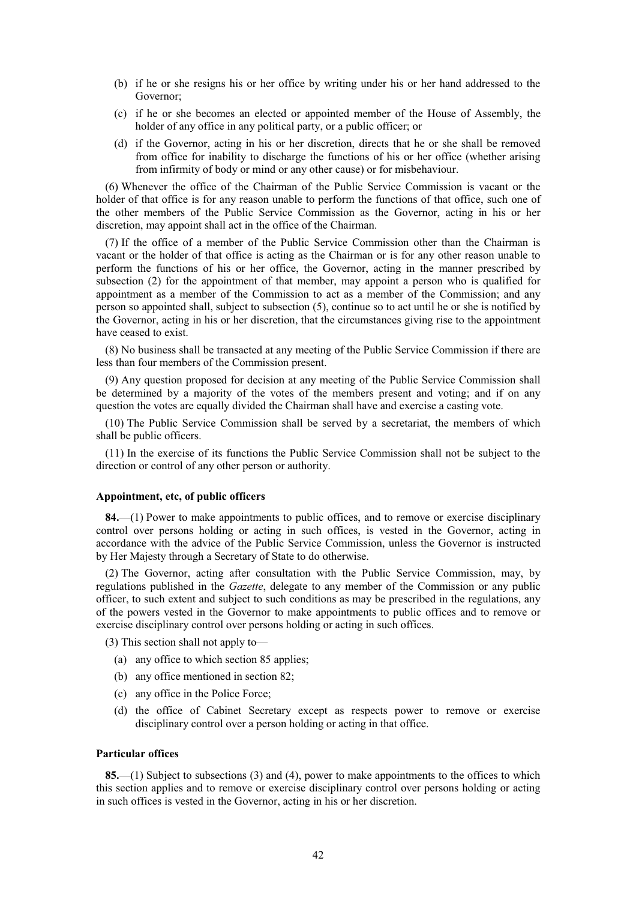- (b) if he or she resigns his or her office by writing under his or her hand addressed to the Governor;
- (c) if he or she becomes an elected or appointed member of the House of Assembly, the holder of any office in any political party, or a public officer; or
- (d) if the Governor, acting in his or her discretion, directs that he or she shall be removed from office for inability to discharge the functions of his or her office (whether arising from infirmity of body or mind or any other cause) or for misbehaviour.

(6) Whenever the office of the Chairman of the Public Service Commission is vacant or the holder of that office is for any reason unable to perform the functions of that office, such one of the other members of the Public Service Commission as the Governor, acting in his or her discretion, may appoint shall act in the office of the Chairman.

(7) If the office of a member of the Public Service Commission other than the Chairman is vacant or the holder of that office is acting as the Chairman or is for any other reason unable to perform the functions of his or her office, the Governor, acting in the manner prescribed by subsection (2) for the appointment of that member, may appoint a person who is qualified for appointment as a member of the Commission to act as a member of the Commission; and any person so appointed shall, subject to subsection (5), continue so to act until he or she is notified by the Governor, acting in his or her discretion, that the circumstances giving rise to the appointment have ceased to exist.

(8) No business shall be transacted at any meeting of the Public Service Commission if there are less than four members of the Commission present.

(9) Any question proposed for decision at any meeting of the Public Service Commission shall be determined by a majority of the votes of the members present and voting; and if on any question the votes are equally divided the Chairman shall have and exercise a casting vote.

(10) The Public Service Commission shall be served by a secretariat, the members of which shall be public officers.

(11) In the exercise of its functions the Public Service Commission shall not be subject to the direction or control of any other person or authority.

# **Appointment, etc, of public officers**

**84.**—(1) Power to make appointments to public offices, and to remove or exercise disciplinary control over persons holding or acting in such offices, is vested in the Governor, acting in accordance with the advice of the Public Service Commission, unless the Governor is instructed by Her Majesty through a Secretary of State to do otherwise.

(2) The Governor, acting after consultation with the Public Service Commission, may, by regulations published in the *Gazette*, delegate to any member of the Commission or any public officer, to such extent and subject to such conditions as may be prescribed in the regulations, any of the powers vested in the Governor to make appointments to public offices and to remove or exercise disciplinary control over persons holding or acting in such offices.

(3) This section shall not apply to—

- (a) any office to which section 85 applies;
- (b) any office mentioned in section 82;
- (c) any office in the Police Force;
- (d) the office of Cabinet Secretary except as respects power to remove or exercise disciplinary control over a person holding or acting in that office.

## **Particular offices**

**85.**—(1) Subject to subsections (3) and (4), power to make appointments to the offices to which this section applies and to remove or exercise disciplinary control over persons holding or acting in such offices is vested in the Governor, acting in his or her discretion.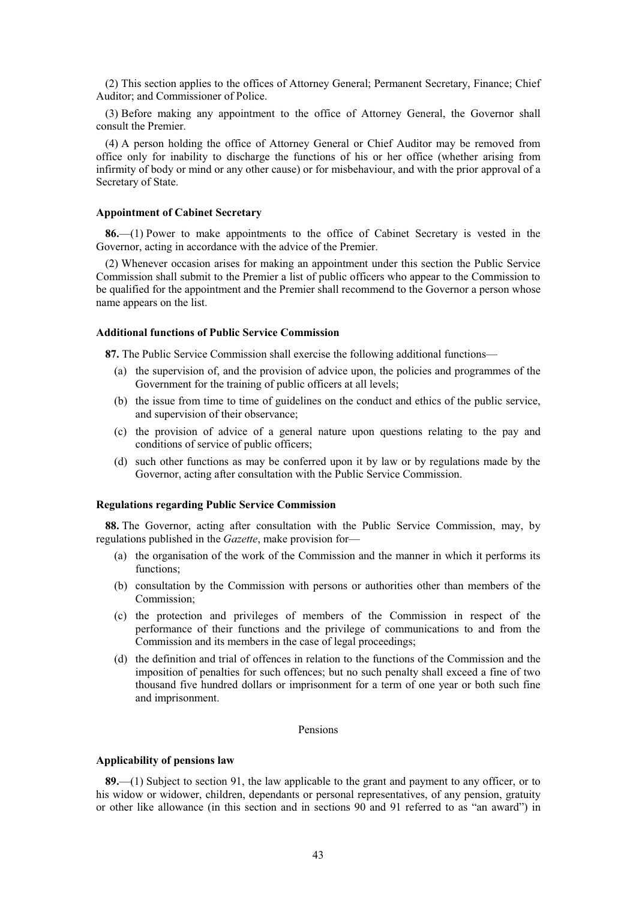(2) This section applies to the offices of Attorney General; Permanent Secretary, Finance; Chief Auditor; and Commissioner of Police.

(3) Before making any appointment to the office of Attorney General, the Governor shall consult the Premier.

(4) A person holding the office of Attorney General or Chief Auditor may be removed from office only for inability to discharge the functions of his or her office (whether arising from infirmity of body or mind or any other cause) or for misbehaviour, and with the prior approval of a Secretary of State.

#### **Appointment of Cabinet Secretary**

**86.**—(1) Power to make appointments to the office of Cabinet Secretary is vested in the Governor, acting in accordance with the advice of the Premier.

(2) Whenever occasion arises for making an appointment under this section the Public Service Commission shall submit to the Premier a list of public officers who appear to the Commission to be qualified for the appointment and the Premier shall recommend to the Governor a person whose name appears on the list.

#### **Additional functions of Public Service Commission**

**87.** The Public Service Commission shall exercise the following additional functions—

- (a) the supervision of, and the provision of advice upon, the policies and programmes of the Government for the training of public officers at all levels;
- (b) the issue from time to time of guidelines on the conduct and ethics of the public service, and supervision of their observance;
- (c) the provision of advice of a general nature upon questions relating to the pay and conditions of service of public officers;
- (d) such other functions as may be conferred upon it by law or by regulations made by the Governor, acting after consultation with the Public Service Commission.

#### **Regulations regarding Public Service Commission**

**88.** The Governor, acting after consultation with the Public Service Commission, may, by regulations published in the *Gazette*, make provision for—

- (a) the organisation of the work of the Commission and the manner in which it performs its functions:
- (b) consultation by the Commission with persons or authorities other than members of the Commission;
- (c) the protection and privileges of members of the Commission in respect of the performance of their functions and the privilege of communications to and from the Commission and its members in the case of legal proceedings;
- (d) the definition and trial of offences in relation to the functions of the Commission and the imposition of penalties for such offences; but no such penalty shall exceed a fine of two thousand five hundred dollars or imprisonment for a term of one year or both such fine and imprisonment.

## Pensions

#### **Applicability of pensions law**

**89.**—(1) Subject to section 91, the law applicable to the grant and payment to any officer, or to his widow or widower, children, dependants or personal representatives, of any pension, gratuity or other like allowance (in this section and in sections 90 and 91 referred to as "an award") in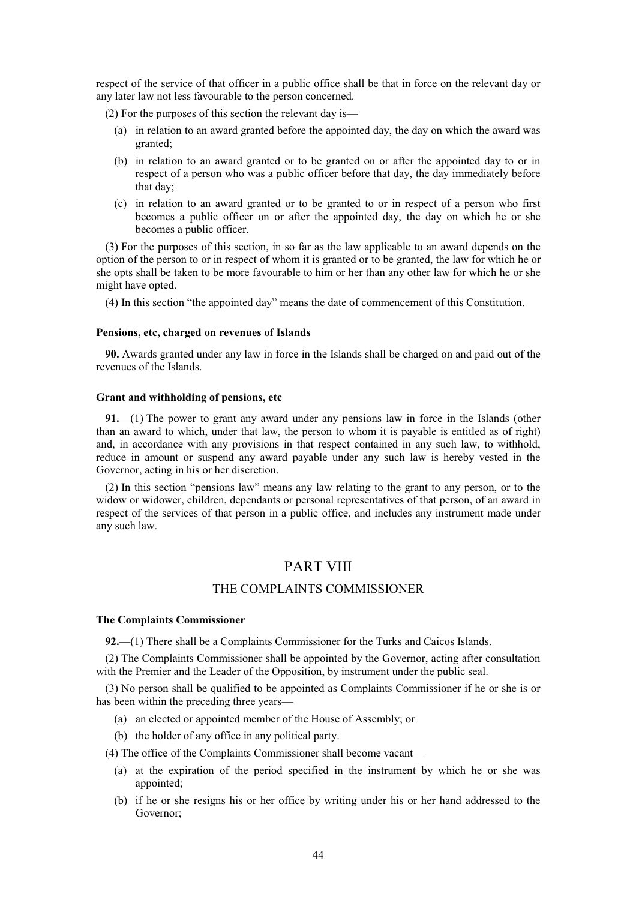respect of the service of that officer in a public office shall be that in force on the relevant day or any later law not less favourable to the person concerned.

(2) For the purposes of this section the relevant day is—

- (a) in relation to an award granted before the appointed day, the day on which the award was granted;
- (b) in relation to an award granted or to be granted on or after the appointed day to or in respect of a person who was a public officer before that day, the day immediately before that day;
- (c) in relation to an award granted or to be granted to or in respect of a person who first becomes a public officer on or after the appointed day, the day on which he or she becomes a public officer.

(3) For the purposes of this section, in so far as the law applicable to an award depends on the option of the person to or in respect of whom it is granted or to be granted, the law for which he or she opts shall be taken to be more favourable to him or her than any other law for which he or she might have opted.

(4) In this section "the appointed day" means the date of commencement of this Constitution.

#### **Pensions, etc, charged on revenues of Islands**

**90.** Awards granted under any law in force in the Islands shall be charged on and paid out of the revenues of the Islands.

## **Grant and withholding of pensions, etc**

**91.**—(1) The power to grant any award under any pensions law in force in the Islands (other than an award to which, under that law, the person to whom it is payable is entitled as of right) and, in accordance with any provisions in that respect contained in any such law, to withhold, reduce in amount or suspend any award payable under any such law is hereby vested in the Governor, acting in his or her discretion.

(2) In this section "pensions law" means any law relating to the grant to any person, or to the widow or widower, children, dependants or personal representatives of that person, of an award in respect of the services of that person in a public office, and includes any instrument made under any such law.

# PART VIII

## THE COMPLAINTS COMMISSIONER

#### **The Complaints Commissioner**

**92.**—(1) There shall be a Complaints Commissioner for the Turks and Caicos Islands.

(2) The Complaints Commissioner shall be appointed by the Governor, acting after consultation with the Premier and the Leader of the Opposition, by instrument under the public seal.

(3) No person shall be qualified to be appointed as Complaints Commissioner if he or she is or has been within the preceding three years—

- (a) an elected or appointed member of the House of Assembly; or
- (b) the holder of any office in any political party.

(4) The office of the Complaints Commissioner shall become vacant—

- (a) at the expiration of the period specified in the instrument by which he or she was appointed;
- (b) if he or she resigns his or her office by writing under his or her hand addressed to the Governor;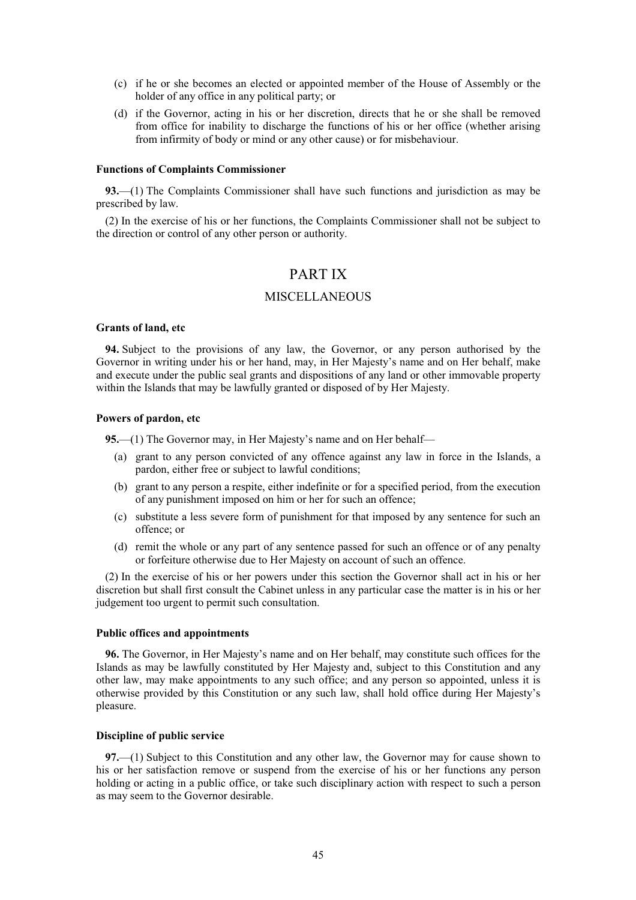- (c) if he or she becomes an elected or appointed member of the House of Assembly or the holder of any office in any political party; or
- (d) if the Governor, acting in his or her discretion, directs that he or she shall be removed from office for inability to discharge the functions of his or her office (whether arising from infirmity of body or mind or any other cause) or for misbehaviour.

## **Functions of Complaints Commissioner**

**93.**—(1) The Complaints Commissioner shall have such functions and jurisdiction as may be prescribed by law.

(2) In the exercise of his or her functions, the Complaints Commissioner shall not be subject to the direction or control of any other person or authority.

# PART IX

## MISCELLANEOUS

#### **Grants of land, etc**

**94.** Subject to the provisions of any law, the Governor, or any person authorised by the Governor in writing under his or her hand, may, in Her Majesty's name and on Her behalf, make and execute under the public seal grants and dispositions of any land or other immovable property within the Islands that may be lawfully granted or disposed of by Her Majesty.

### **Powers of pardon, etc**

**95.**—(1) The Governor may, in Her Majesty's name and on Her behalf—

- (a) grant to any person convicted of any offence against any law in force in the Islands, a pardon, either free or subject to lawful conditions;
- (b) grant to any person a respite, either indefinite or for a specified period, from the execution of any punishment imposed on him or her for such an offence;
- (c) substitute a less severe form of punishment for that imposed by any sentence for such an offence; or
- (d) remit the whole or any part of any sentence passed for such an offence or of any penalty or forfeiture otherwise due to Her Majesty on account of such an offence.

(2) In the exercise of his or her powers under this section the Governor shall act in his or her discretion but shall first consult the Cabinet unless in any particular case the matter is in his or her judgement too urgent to permit such consultation.

#### **Public offices and appointments**

**96.** The Governor, in Her Majesty's name and on Her behalf, may constitute such offices for the Islands as may be lawfully constituted by Her Majesty and, subject to this Constitution and any other law, may make appointments to any such office; and any person so appointed, unless it is otherwise provided by this Constitution or any such law, shall hold office during Her Majesty's pleasure.

## **Discipline of public service**

**97.**—(1) Subject to this Constitution and any other law, the Governor may for cause shown to his or her satisfaction remove or suspend from the exercise of his or her functions any person holding or acting in a public office, or take such disciplinary action with respect to such a person as may seem to the Governor desirable.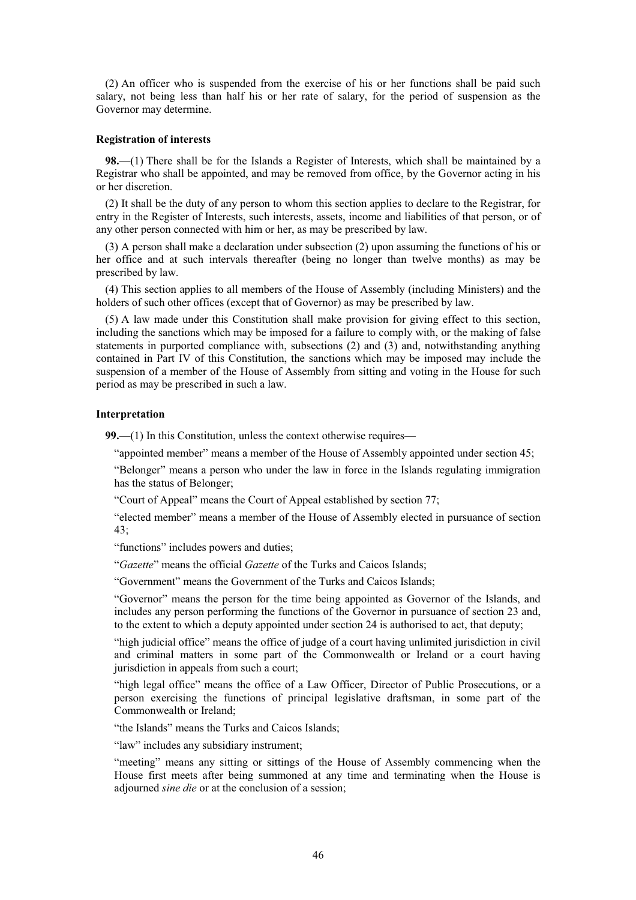(2) An officer who is suspended from the exercise of his or her functions shall be paid such salary, not being less than half his or her rate of salary, for the period of suspension as the Governor may determine.

#### **Registration of interests**

**98.**—(1) There shall be for the Islands a Register of Interests, which shall be maintained by a Registrar who shall be appointed, and may be removed from office, by the Governor acting in his or her discretion.

(2) It shall be the duty of any person to whom this section applies to declare to the Registrar, for entry in the Register of Interests, such interests, assets, income and liabilities of that person, or of any other person connected with him or her, as may be prescribed by law.

(3) A person shall make a declaration under subsection (2) upon assuming the functions of his or her office and at such intervals thereafter (being no longer than twelve months) as may be prescribed by law.

(4) This section applies to all members of the House of Assembly (including Ministers) and the holders of such other offices (except that of Governor) as may be prescribed by law.

(5) A law made under this Constitution shall make provision for giving effect to this section, including the sanctions which may be imposed for a failure to comply with, or the making of false statements in purported compliance with, subsections (2) and (3) and, notwithstanding anything contained in Part IV of this Constitution, the sanctions which may be imposed may include the suspension of a member of the House of Assembly from sitting and voting in the House for such period as may be prescribed in such a law.

### **Interpretation**

**99.**—(1) In this Constitution, unless the context otherwise requires—

"appointed member" means a member of the House of Assembly appointed under section 45;

"Belonger" means a person who under the law in force in the Islands regulating immigration has the status of Belonger;

"Court of Appeal" means the Court of Appeal established by section 77;

"elected member" means a member of the House of Assembly elected in pursuance of section 43;

"functions" includes powers and duties;

"*Gazette*" means the official *Gazette* of the Turks and Caicos Islands;

"Government" means the Government of the Turks and Caicos Islands;

"Governor" means the person for the time being appointed as Governor of the Islands, and includes any person performing the functions of the Governor in pursuance of section 23 and, to the extent to which a deputy appointed under section 24 is authorised to act, that deputy;

"high judicial office" means the office of judge of a court having unlimited jurisdiction in civil and criminal matters in some part of the Commonwealth or Ireland or a court having jurisdiction in appeals from such a court;

"high legal office" means the office of a Law Officer, Director of Public Prosecutions, or a person exercising the functions of principal legislative draftsman, in some part of the Commonwealth or Ireland;

"the Islands" means the Turks and Caicos Islands;

"law" includes any subsidiary instrument;

"meeting" means any sitting or sittings of the House of Assembly commencing when the House first meets after being summoned at any time and terminating when the House is adjourned *sine die* or at the conclusion of a session;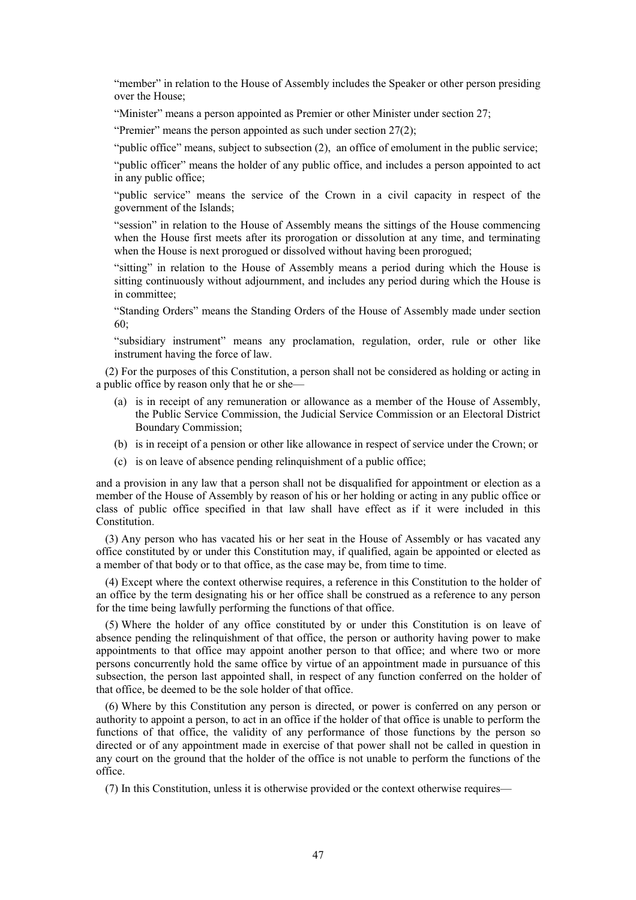"member" in relation to the House of Assembly includes the Speaker or other person presiding over the House;

"Minister" means a person appointed as Premier or other Minister under section 27;

"Premier" means the person appointed as such under section 27(2);

"public office" means, subject to subsection (2), an office of emolument in the public service;

"public officer" means the holder of any public office, and includes a person appointed to act in any public office;

"public service" means the service of the Crown in a civil capacity in respect of the government of the Islands;

"session" in relation to the House of Assembly means the sittings of the House commencing when the House first meets after its prorogation or dissolution at any time, and terminating when the House is next prorogued or dissolved without having been prorogued;

"sitting" in relation to the House of Assembly means a period during which the House is sitting continuously without adjournment, and includes any period during which the House is in committee;

"Standing Orders" means the Standing Orders of the House of Assembly made under section 60;

"subsidiary instrument" means any proclamation, regulation, order, rule or other like instrument having the force of law.

(2) For the purposes of this Constitution, a person shall not be considered as holding or acting in a public office by reason only that he or she—

- (a) is in receipt of any remuneration or allowance as a member of the House of Assembly, the Public Service Commission, the Judicial Service Commission or an Electoral District Boundary Commission;
- (b) is in receipt of a pension or other like allowance in respect of service under the Crown; or
- (c) is on leave of absence pending relinquishment of a public office;

and a provision in any law that a person shall not be disqualified for appointment or election as a member of the House of Assembly by reason of his or her holding or acting in any public office or class of public office specified in that law shall have effect as if it were included in this Constitution.

(3) Any person who has vacated his or her seat in the House of Assembly or has vacated any office constituted by or under this Constitution may, if qualified, again be appointed or elected as a member of that body or to that office, as the case may be, from time to time.

(4) Except where the context otherwise requires, a reference in this Constitution to the holder of an office by the term designating his or her office shall be construed as a reference to any person for the time being lawfully performing the functions of that office.

(5) Where the holder of any office constituted by or under this Constitution is on leave of absence pending the relinquishment of that office, the person or authority having power to make appointments to that office may appoint another person to that office; and where two or more persons concurrently hold the same office by virtue of an appointment made in pursuance of this subsection, the person last appointed shall, in respect of any function conferred on the holder of that office, be deemed to be the sole holder of that office.

(6) Where by this Constitution any person is directed, or power is conferred on any person or authority to appoint a person, to act in an office if the holder of that office is unable to perform the functions of that office, the validity of any performance of those functions by the person so directed or of any appointment made in exercise of that power shall not be called in question in any court on the ground that the holder of the office is not unable to perform the functions of the office.

(7) In this Constitution, unless it is otherwise provided or the context otherwise requires—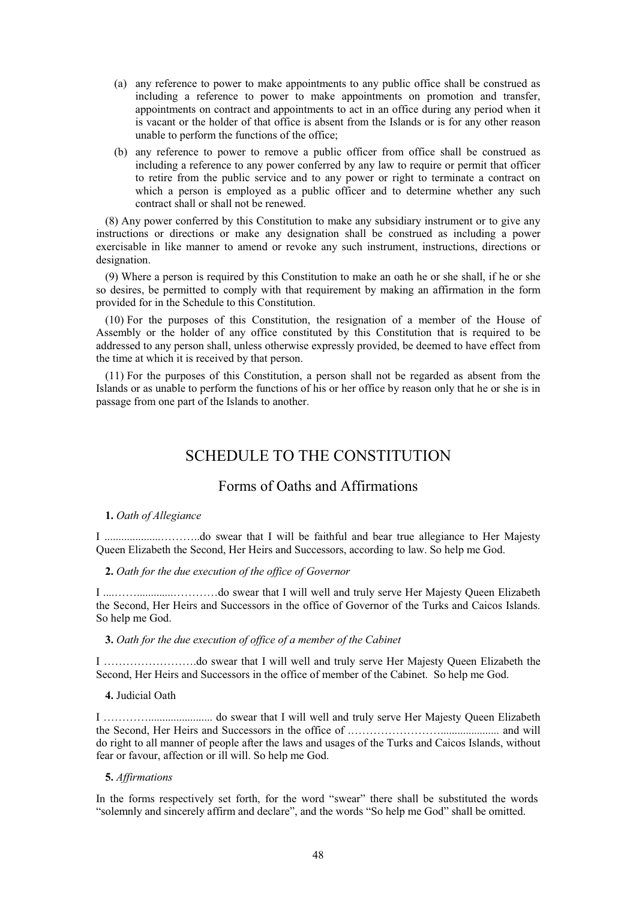- (a) any reference to power to make appointments to any public office shall be construed as including a reference to power to make appointments on promotion and transfer, appointments on contract and appointments to act in an office during any period when it is vacant or the holder of that office is absent from the Islands or is for any other reason unable to perform the functions of the office;
- (b) any reference to power to remove a public officer from office shall be construed as including a reference to any power conferred by any law to require or permit that officer to retire from the public service and to any power or right to terminate a contract on which a person is employed as a public officer and to determine whether any such contract shall or shall not be renewed.

(8) Any power conferred by this Constitution to make any subsidiary instrument or to give any instructions or directions or make any designation shall be construed as including a power exercisable in like manner to amend or revoke any such instrument, instructions, directions or designation.

(9) Where a person is required by this Constitution to make an oath he or she shall, if he or she so desires, be permitted to comply with that requirement by making an affirmation in the form provided for in the Schedule to this Constitution.

(10) For the purposes of this Constitution, the resignation of a member of the House of Assembly or the holder of any office constituted by this Constitution that is required to be addressed to any person shall, unless otherwise expressly provided, be deemed to have effect from the time at which it is received by that person.

(11) For the purposes of this Constitution, a person shall not be regarded as absent from the Islands or as unable to perform the functions of his or her office by reason only that he or she is in passage from one part of the Islands to another.

# SCHEDULE TO THE CONSTITUTION

# Forms of Oaths and Affirmations

## **1.** *Oath of Allegiance*

I ....................………..do swear that I will be faithful and bear true allegiance to Her Majesty Queen Elizabeth the Second, Her Heirs and Successors, according to law. So help me God.

## **2.** *Oath for the due execution of the office of Governor*

I ....…….............…………do swear that I will well and truly serve Her Majesty Queen Elizabeth the Second, Her Heirs and Successors in the office of Governor of the Turks and Caicos Islands. So help me God.

#### **3.** *Oath for the due execution of office of a member of the Cabinet*

I …………………….do swear that I will well and truly serve Her Majesty Queen Elizabeth the Second, Her Heirs and Successors in the office of member of the Cabinet. So help me God.

## **4.** Judicial Oath

I …………....................... do swear that I will well and truly serve Her Majesty Queen Elizabeth the Second, Her Heirs and Successors in the office of .……………………..................... and will do right to all manner of people after the laws and usages of the Turks and Caicos Islands, without fear or favour, affection or ill will. So help me God.

## **5.** *Affirmations*

In the forms respectively set forth, for the word "swear" there shall be substituted the words "solemnly and sincerely affirm and declare", and the words "So help me God" shall be omitted.